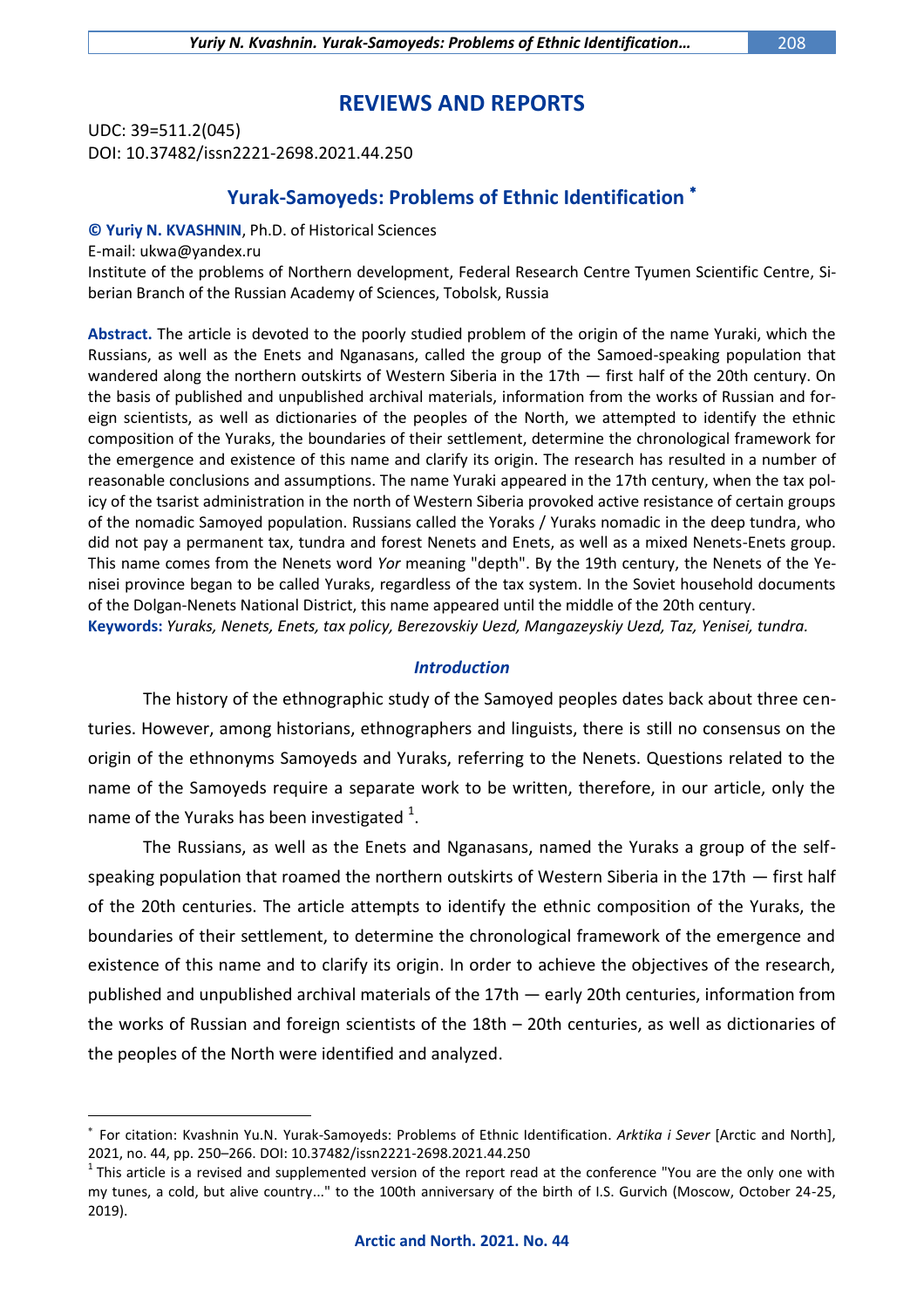# **REVIEWS AND REPORTS**

UDC: 39=511.2(045) DOI: 10.37482/issn2221-2698.2021.44.250

# **Yurak-Samoyeds: Problems of Ethnic Identification**

### **© Yuriy N. KVASHNIN**, Ph.D. of Historical Sciences

E-mail: [ukwa@yandex.ru](mailto:ukwa@yandex.ru)

 $\overline{a}$ 

Institute of the problems of Northern development, Federal Research Centre Tyumen Scientific Centre, Siberian Branch of the Russian Academy of Sciences, Tobolsk, Russia

**Abstract.** The article is devoted to the poorly studied problem of the origin of the name Yuraki, which the Russians, as well as the Enets and Nganasans, called the group of the Samoed-speaking population that wandered along the northern outskirts of Western Siberia in the 17th — first half of the 20th century. On the basis of published and unpublished archival materials, information from the works of Russian and foreign scientists, as well as dictionaries of the peoples of the North, we attempted to identify the ethnic composition of the Yuraks, the boundaries of their settlement, determine the chronological framework for the emergence and existence of this name and clarify its origin. The research has resulted in a number of reasonable conclusions and assumptions. The name Yuraki appeared in the 17th century, when the tax policy of the tsarist administration in the north of Western Siberia provoked active resistance of certain groups of the nomadic Samoyed population. Russians called the Yoraks / Yuraks nomadic in the deep tundra, who did not pay a permanent tax, tundra and forest Nenets and Enets, as well as a mixed Nenets-Enets group. This name comes from the Nenets word *Yor* meaning "depth". By the 19th century, the Nenets of the Yenisei province began to be called Yuraks, regardless of the tax system. In the Soviet household documents of the Dolgan-Nenets National District, this name appeared until the middle of the 20th century. **Keywords:** *Yuraks, Nenets, Enets, tax policy, Berezovskiy Uezd, Mangazeyskiy Uezd, Taz, Yenisei, tundra.*

## *Introduction*

The history of the ethnographic study of the Samoyed peoples dates back about three centuries. However, among historians, ethnographers and linguists, there is still no consensus on the origin of the ethnonyms Samoyeds and Yuraks, referring to the Nenets. Questions related to the name of the Samoyeds require a separate work to be written, therefore, in our article, only the name of the Yuraks has been investigated  $^1$ .

The Russians, as well as the Enets and Nganasans, named the Yuraks a group of the selfspeaking population that roamed the northern outskirts of Western Siberia in the 17th — first half of the 20th centuries. The article attempts to identify the ethnic composition of the Yuraks, the boundaries of their settlement, to determine the chronological framework of the emergence and existence of this name and to clarify its origin. In order to achieve the objectives of the research, published and unpublished archival materials of the 17th — early 20th centuries, information from the works of Russian and foreign scientists of the 18th – 20th centuries, as well as dictionaries of the peoples of the North were identified and analyzed.

<sup>×</sup> For citation: Kvashnin Yu.N. Yurak-Samoyeds: Problems of Ethnic Identification. *Arktika i Sever* [Arctic and North], 2021, no. 44, pp. 250–266. DOI: 10.37482/issn2221-2698.2021.44.250

 $1$ This article is a revised and supplemented version of the report read at the conference "You are the only one with my tunes, a cold, but alive country..." to the 100th anniversary of the birth of I.S. Gurvich (Moscow, October 24-25, 2019).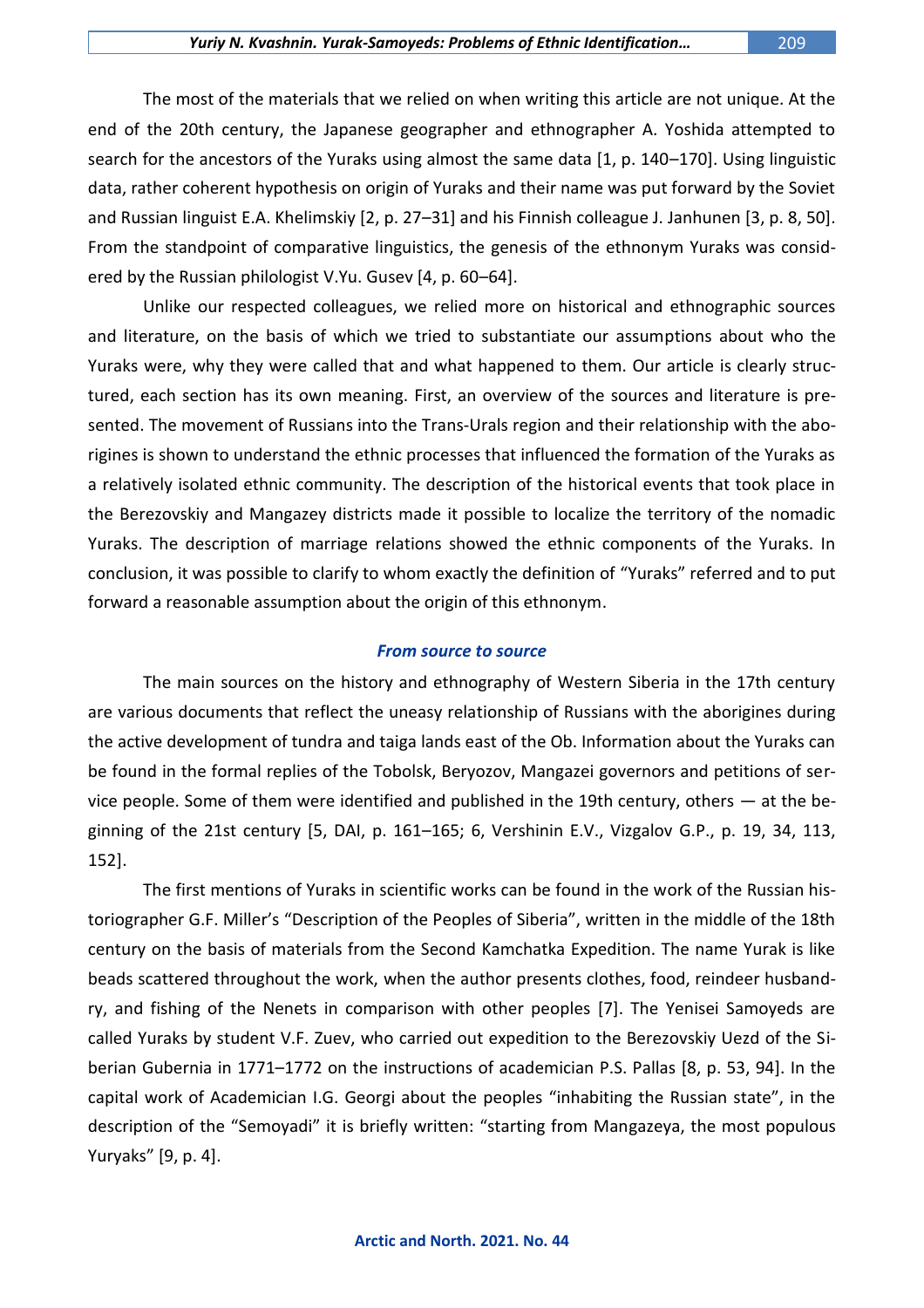The most of the materials that we relied on when writing this article are not unique. At the end of the 20th century, the Japanese geographer and ethnographer A. Yoshida attempted to search for the ancestors of the Yuraks using almost the same data [1, p. 140–170]. Using linguistic data, rather coherent hypothesis on origin of Yuraks and their name was put forward by the Soviet and Russian linguist E.A. Khelimskiy [2, p. 27–31] and his Finnish colleague J. Janhunen [3, p. 8, 50]. From the standpoint of comparative linguistics, the genesis of the ethnonym Yuraks was considered by the Russian philologist V.Yu. Gusev [4, p. 60–64].

Unlike our respected colleagues, we relied more on historical and ethnographic sources and literature, on the basis of which we tried to substantiate our assumptions about who the Yuraks were, why they were called that and what happened to them. Our article is clearly structured, each section has its own meaning. First, an overview of the sources and literature is presented. The movement of Russians into the Trans-Urals region and their relationship with the aborigines is shown to understand the ethnic processes that influenced the formation of the Yuraks as a relatively isolated ethnic community. The description of the historical events that took place in the Berezovskiy and Mangazey districts made it possible to localize the territory of the nomadic Yuraks. The description of marriage relations showed the ethnic components of the Yuraks. In conclusion, it was possible to clarify to whom exactly the definition of "Yuraks" referred and to put forward a reasonable assumption about the origin of this ethnonym.

### *From source to source*

The main sources on the history and ethnography of Western Siberia in the 17th century are various documents that reflect the uneasy relationship of Russians with the aborigines during the active development of tundra and taiga lands east of the Ob. Information about the Yuraks can be found in the formal replies of the Tobolsk, Beryozov, Mangazei governors and petitions of service people. Some of them were identified and published in the 19th century, others — at the beginning of the 21st century [5, DAI, p. 161–165; 6, Vershinin E.V., Vizgalov G.P., p. 19, 34, 113, 152].

The first mentions of Yuraks in scientific works can be found in the work of the Russian historiographer G.F. Miller's "Description of the Peoples of Siberia", written in the middle of the 18th century on the basis of materials from the Second Kamchatka Expedition. The name Yurak is like beads scattered throughout the work, when the author presents clothes, food, reindeer husbandry, and fishing of the Nenets in comparison with other peoples [7]. The Yenisei Samoyeds are called Yuraks by student V.F. Zuev, who carried out expedition to the Berezovskiy Uezd of the Siberian Gubernia in 1771–1772 on the instructions of academician P.S. Pallas [8, p. 53, 94]. In the capital work of Academician I.G. Georgi about the peoples "inhabiting the Russian state", in the description of the "Semoyadi" it is briefly written: "starting from Mangazeya, the most populous Yuryaks" [9, p. 4].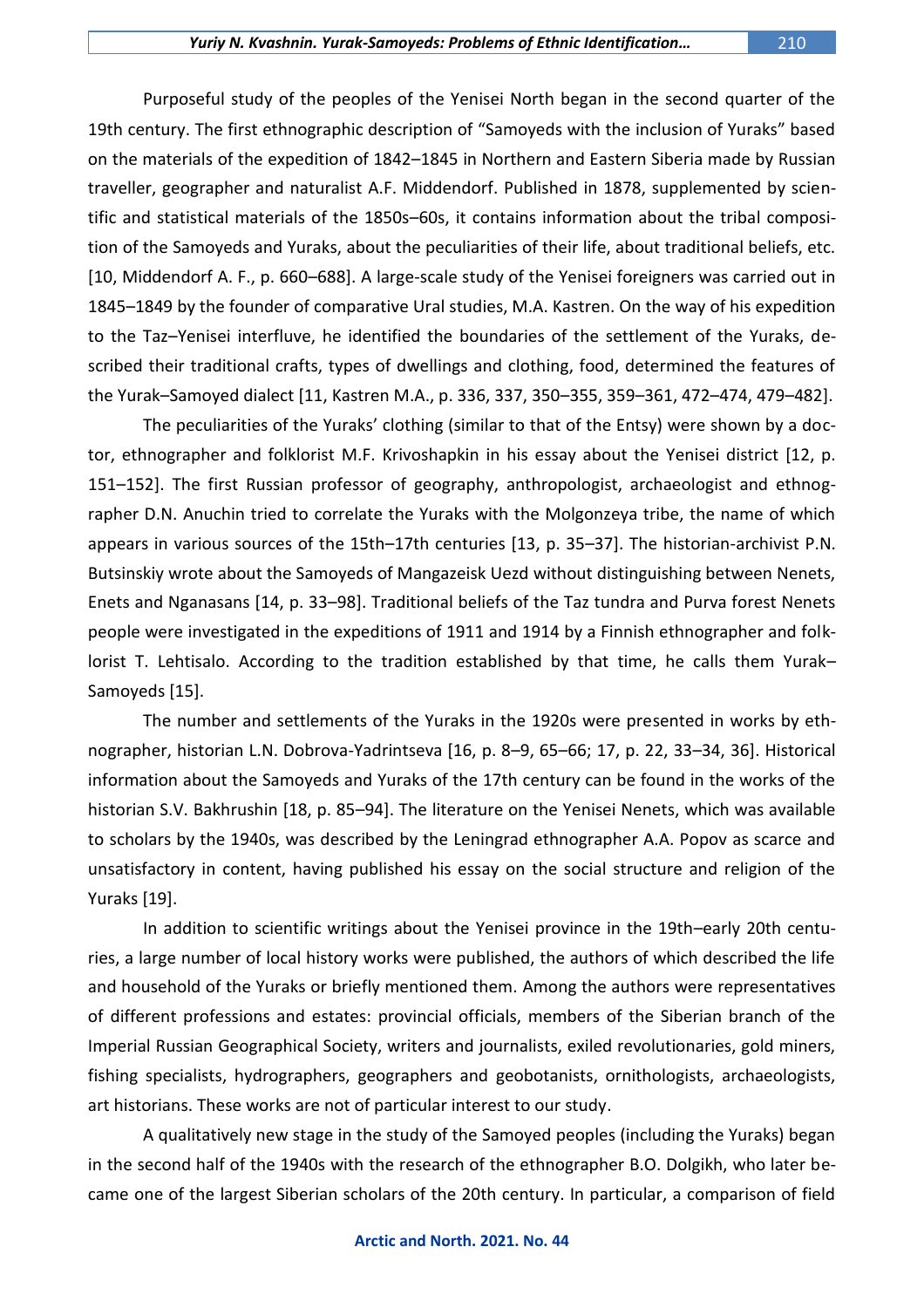Purposeful study of the peoples of the Yenisei North began in the second quarter of the 19th century. The first ethnographic description of "Samoyeds with the inclusion of Yuraks" based on the materials of the expedition of 1842–1845 in Northern and Eastern Siberia made by Russian traveller, geographer and naturalist A.F. Middendorf. Published in 1878, supplemented by scientific and statistical materials of the 1850s–60s, it contains information about the tribal composition of the Samoyeds and Yuraks, about the peculiarities of their life, about traditional beliefs, etc. [10, Middendorf A. F., p. 660–688]. A large-scale study of the Yenisei foreigners was carried out in 1845–1849 by the founder of comparative Ural studies, M.A. Kastren. On the way of his expedition to the Taz–Yenisei interfluve, he identified the boundaries of the settlement of the Yuraks, described their traditional crafts, types of dwellings and clothing, food, determined the features of the Yurak–Samoyed dialect [11, Kastren M.A., p. 336, 337, 350–355, 359–361, 472–474, 479–482].

The peculiarities of the Yuraks' clothing (similar to that of the Entsy) were shown by a doctor, ethnographer and folklorist M.F. Krivoshapkin in his essay about the Yenisei district [12, p. 151–152]. The first Russian professor of geography, anthropologist, archaeologist and ethnographer D.N. Anuchin tried to correlate the Yuraks with the Molgonzeya tribe, the name of which appears in various sources of the 15th–17th centuries [13, p. 35–37]. The historian-archivist P.N. Butsinskiy wrote about the Samoyeds of Mangazeisk Uezd without distinguishing between Nenets, Enets and Nganasans [14, p. 33–98]. Traditional beliefs of the Taz tundra and Purva forest Nenets people were investigated in the expeditions of 1911 and 1914 by a Finnish ethnographer and folklorist T. Lehtisalo. According to the tradition established by that time, he calls them Yurak– Samoyeds [15].

The number and settlements of the Yuraks in the 1920s were presented in works by ethnographer, historian L.N. Dobrova-Yadrintseva [16, p. 8–9, 65–66; 17, p. 22, 33–34, 36]. Historical information about the Samoyeds and Yuraks of the 17th century can be found in the works of the historian S.V. Bakhrushin [18, p. 85–94]. The literature on the Yenisei Nenets, which was available to scholars by the 1940s, was described by the Leningrad ethnographer A.A. Popov as scarce and unsatisfactory in content, having published his essay on the social structure and religion of the Yuraks [19].

In addition to scientific writings about the Yenisei province in the 19th–early 20th centuries, a large number of local history works were published, the authors of which described the life and household of the Yuraks or briefly mentioned them. Among the authors were representatives of different professions and estates: provincial officials, members of the Siberian branch of the Imperial Russian Geographical Society, writers and journalists, exiled revolutionaries, gold miners, fishing specialists, hydrographers, geographers and geobotanists, ornithologists, archaeologists, art historians. These works are not of particular interest to our study.

A qualitatively new stage in the study of the Samoyed peoples (including the Yuraks) began in the second half of the 1940s with the research of the ethnographer B.O. Dolgikh, who later became one of the largest Siberian scholars of the 20th century. In particular, a comparison of field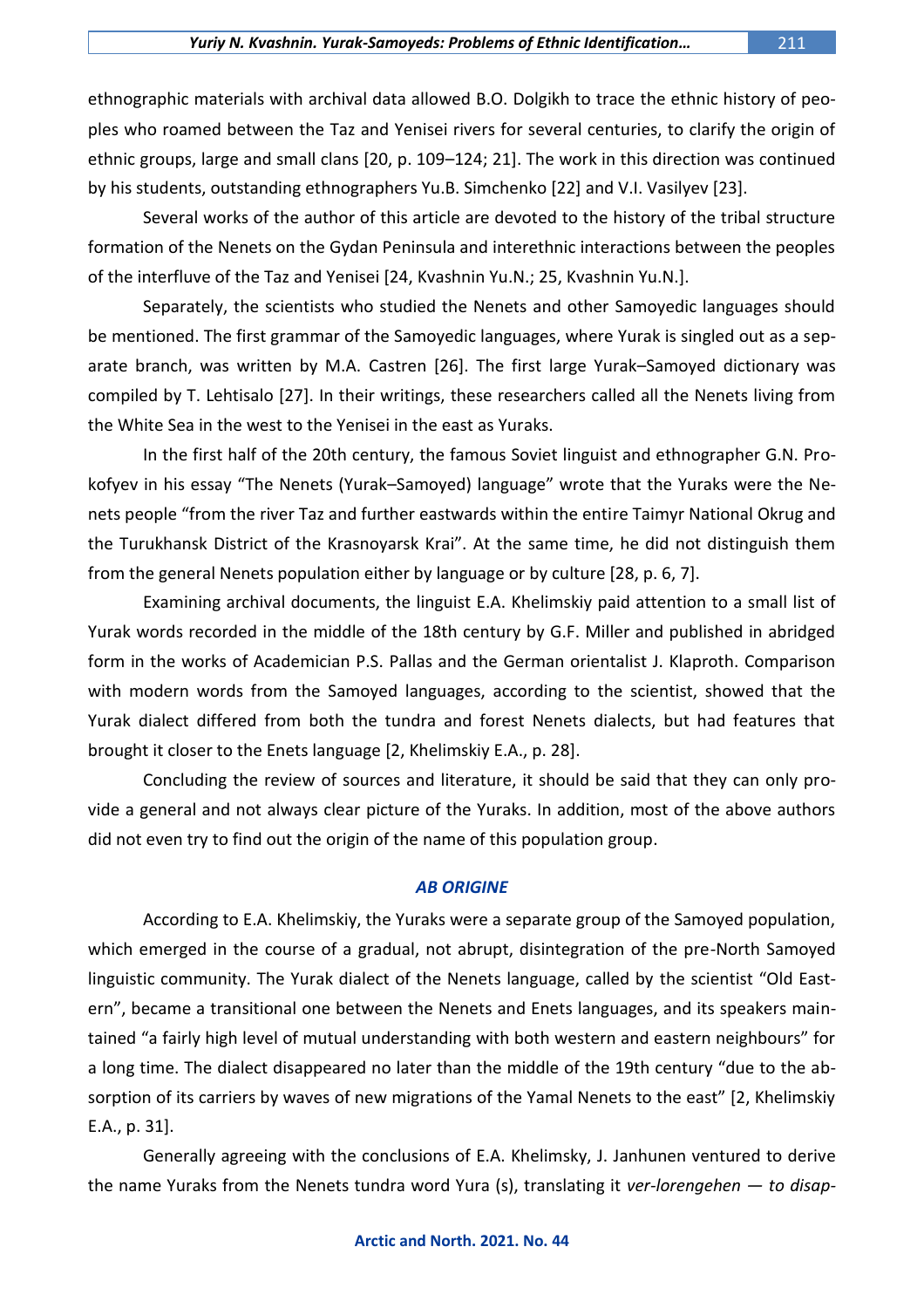ethnographic materials with archival data allowed B.O. Dolgikh to trace the ethnic history of peoples who roamed between the Taz and Yenisei rivers for several centuries, to clarify the origin of ethnic groups, large and small clans [20, p. 109–124; 21]. The work in this direction was continued

by his students, outstanding ethnographers Yu.B. Simchenko [22] and V.I. Vasilyev [23].

Several works of the author of this article are devoted to the history of the tribal structure formation of the Nenets on the Gydan Peninsula and interethnic interactions between the peoples of the interfluve of the Taz and Yenisei [24, Kvashnin Yu.N.; 25, Kvashnin Yu.N.].

Separately, the scientists who studied the Nenets and other Samoyedic languages should be mentioned. The first grammar of the Samoyedic languages, where Yurak is singled out as a separate branch, was written by M.A. Castren [26]. The first large Yurak–Samoyed dictionary was compiled by T. Lehtisalo [27]. In their writings, these researchers called all the Nenets living from the White Sea in the west to the Yenisei in the east as Yuraks.

In the first half of the 20th century, the famous Soviet linguist and ethnographer G.N. Prokofyev in his essay "The Nenets (Yurak–Samoyed) language" wrote that the Yuraks were the Nenets people "from the river Taz and further eastwards within the entire Taimyr National Okrug and the Turukhansk District of the Krasnoyarsk Krai". At the same time, he did not distinguish them from the general Nenets population either by language or by culture [28, p. 6, 7].

Examining archival documents, the linguist E.A. Khelimskiy paid attention to a small list of Yurak words recorded in the middle of the 18th century by G.F. Miller and published in abridged form in the works of Academician P.S. Pallas and the German orientalist J. Klaproth. Comparison with modern words from the Samoyed languages, according to the scientist, showed that the Yurak dialect differed from both the tundra and forest Nenets dialects, but had features that brought it closer to the Enets language [2, Khelimskiy E.A., p. 28].

Concluding the review of sources and literature, it should be said that they can only provide a general and not always clear picture of the Yuraks. In addition, most of the above authors did not even try to find out the origin of the name of this population group.

## *AB ORIGINE*

According to E.A. Khelimskiy, the Yuraks were a separate group of the Samoyed population, which emerged in the course of a gradual, not abrupt, disintegration of the pre-North Samoyed linguistic community. The Yurak dialect of the Nenets language, called by the scientist "Old Eastern", became a transitional one between the Nenets and Enets languages, and its speakers maintained "a fairly high level of mutual understanding with both western and eastern neighbours" for a long time. The dialect disappeared no later than the middle of the 19th century "due to the absorption of its carriers by waves of new migrations of the Yamal Nenets to the east" [2, Khelimskiy E.A., p. 31].

Generally agreeing with the conclusions of E.A. Khelimsky, J. Janhunen ventured to derive the name Yuraks from the Nenets tundra word Yura (s), translating it *ver-lorengehen — to disap-*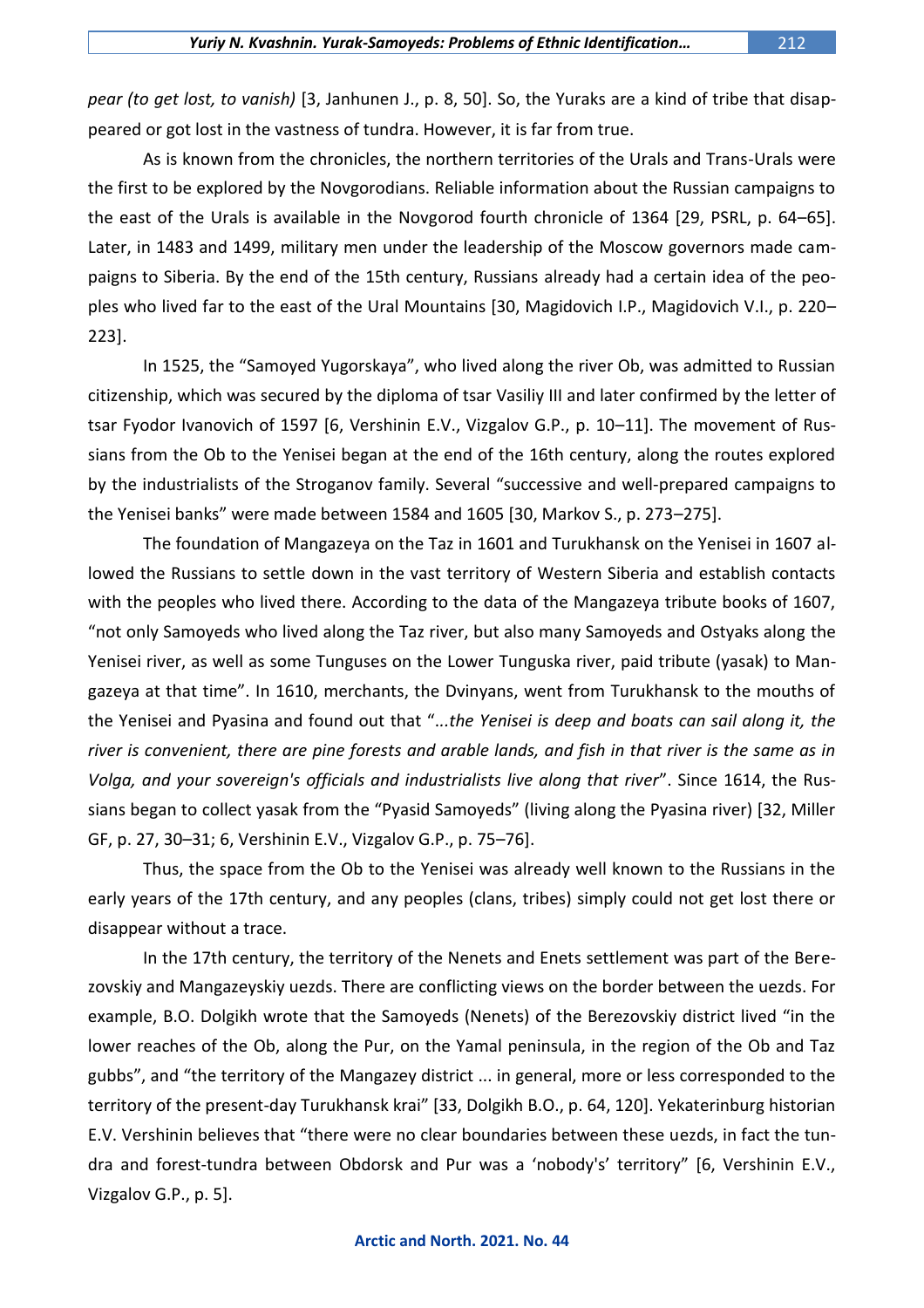*pear (to get lost, to vanish)* [3, Janhunen J., p. 8, 50]. So, the Yuraks are a kind of tribe that disappeared or got lost in the vastness of tundra. However, it is far from true.

As is known from the chronicles, the northern territories of the Urals and Trans-Urals were the first to be explored by the Novgorodians. Reliable information about the Russian campaigns to the east of the Urals is available in the Novgorod fourth chronicle of 1364 [29, PSRL, p. 64–65]. Later, in 1483 and 1499, military men under the leadership of the Moscow governors made campaigns to Siberia. By the end of the 15th century, Russians already had a certain idea of the peoples who lived far to the east of the Ural Mountains [30, Magidovich I.P., Magidovich V.I., p. 220– 223].

In 1525, the "Samoyed Yugorskaya", who lived along the river Ob, was admitted to Russian citizenship, which was secured by the diploma of tsar Vasiliy III and later confirmed by the letter of tsar Fyodor Ivanovich of 1597 [6, Vershinin E.V., Vizgalov G.P., p. 10–11]. The movement of Russians from the Ob to the Yenisei began at the end of the 16th century, along the routes explored by the industrialists of the Stroganov family. Several "successive and well-prepared campaigns to the Yenisei banks" were made between 1584 and 1605 [30, Markov S., p. 273–275].

The foundation of Mangazeya on the Taz in 1601 and Turukhansk on the Yenisei in 1607 allowed the Russians to settle down in the vast territory of Western Siberia and establish contacts with the peoples who lived there. According to the data of the Mangazeya tribute books of 1607, "not only Samoyeds who lived along the Taz river, but also many Samoyeds and Ostyaks along the Yenisei river, as well as some Tunguses on the Lower Tunguska river, paid tribute (yasak) to Mangazeya at that time". In 1610, merchants, the Dvinyans, went from Turukhansk to the mouths of the Yenisei and Pyasina and found out that ".*..the Yenisei is deep and boats can sail along it, the river is convenient, there are pine forests and arable lands, and fish in that river is the same as in Volga, and your sovereign's officials and industrialists live along that river*". Since 1614, the Russians began to collect yasak from the "Pyasid Samoyeds" (living along the Pyasina river) [32, Miller GF, p. 27, 30–31; 6, Vershinin E.V., Vizgalov G.P., p. 75–76].

Thus, the space from the Ob to the Yenisei was already well known to the Russians in the early years of the 17th century, and any peoples (clans, tribes) simply could not get lost there or disappear without a trace.

In the 17th century, the territory of the Nenets and Enets settlement was part of the Berezovskiy and Mangazeyskiy uezds. There are conflicting views on the border between the uezds. For example, B.O. Dolgikh wrote that the Samoyeds (Nenets) of the Berezovskiy district lived "in the lower reaches of the Ob, along the Pur, on the Yamal peninsula, in the region of the Ob and Taz gubbs", and "the territory of the Mangazey district ... in general, more or less corresponded to the territory of the present-day Turukhansk krai" [33, Dolgikh B.O., p. 64, 120]. Yekaterinburg historian E.V. Vershinin believes that "there were no clear boundaries between these uezds, in fact the tundra and forest-tundra between Obdorsk and Pur was a 'nobody's' territory" [6, Vershinin E.V., Vizgalov G.P., p. 5].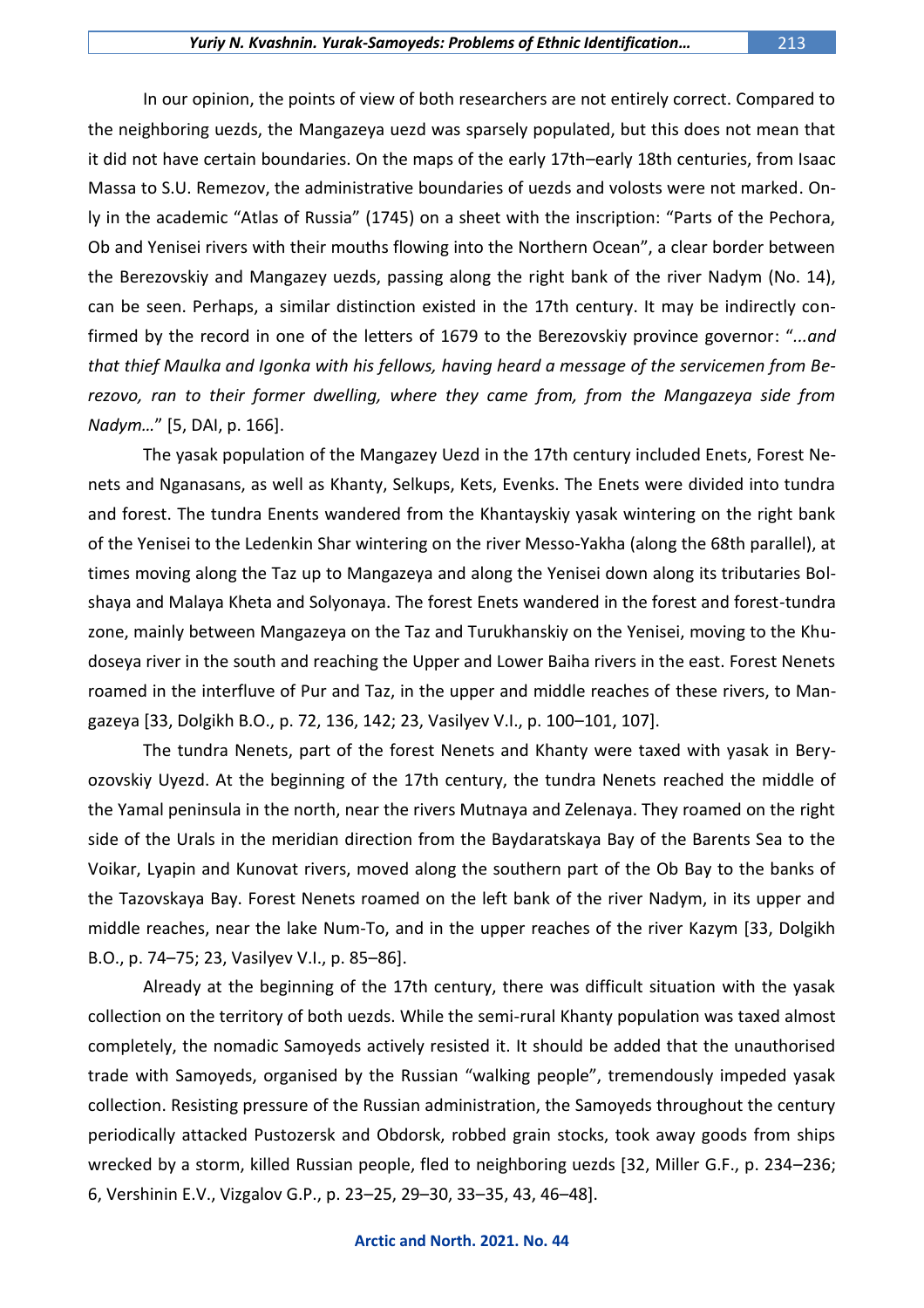In our opinion, the points of view of both researchers are not entirely correct. Compared to the neighboring uezds, the Mangazeya uezd was sparsely populated, but this does not mean that it did not have certain boundaries. On the maps of the early 17th–early 18th centuries, from Isaac Massa to S.U. Remezov, the administrative boundaries of uezds and volosts were not marked. Only in the academic "Atlas of Russia" (1745) on a sheet with the inscription: "Parts of the Pechora, Ob and Yenisei rivers with their mouths flowing into the Northern Ocean", a clear border between the Berezovskiy and Mangazey uezds, passing along the right bank of the river Nadym (No. 14), can be seen. Perhaps, a similar distinction existed in the 17th century. It may be indirectly confirmed by the record in one of the letters of 1679 to the Berezovskiy province governor: "*...and that thief Maulka and Igonka with his fellows, having heard a message of the servicemen from Berezovo, ran to their former dwelling, where they came from, from the Mangazeya side from Nadym…*" [5, DAI, p. 166].

The yasak population of the Mangazey Uezd in the 17th century included Enets, Forest Nenets and Nganasans, as well as Khanty, Selkups, Kets, Evenks. The Enets were divided into tundra and forest. The tundra Enents wandered from the Khantayskiy yasak wintering on the right bank of the Yenisei to the Ledenkin Shar wintering on the river Messo-Yakha (along the 68th parallel), at times moving along the Taz up to Mangazeya and along the Yenisei down along its tributaries Bolshaya and Malaya Kheta and Solyonaya. The forest Enets wandered in the forest and forest-tundra zone, mainly between Mangazeya on the Taz and Turukhanskiy on the Yenisei, moving to the Khudoseya river in the south and reaching the Upper and Lower Baiha rivers in the east. Forest Nenets roamed in the interfluve of Pur and Taz, in the upper and middle reaches of these rivers, to Mangazeya [33, Dolgikh B.O., p. 72, 136, 142; 23, Vasilyev V.I., p. 100–101, 107].

The tundra Nenets, part of the forest Nenets and Khanty were taxed with yasak in Beryozovskiy Uyezd. At the beginning of the 17th century, the tundra Nenets reached the middle of the Yamal peninsula in the north, near the rivers Mutnaya and Zelenaya. They roamed on the right side of the Urals in the meridian direction from the Baydaratskaya Bay of the Barents Sea to the Voikar, Lyapin and Kunovat rivers, moved along the southern part of the Ob Bay to the banks of the Tazovskaya Bay. Forest Nenets roamed on the left bank of the river Nadym, in its upper and middle reaches, near the lake Num-To, and in the upper reaches of the river Kazym [33, Dolgikh B.O., p. 74–75; 23, Vasilyev V.I., p. 85–86].

Already at the beginning of the 17th century, there was difficult situation with the yasak collection on the territory of both uezds. While the semi-rural Khanty population was taxed almost completely, the nomadic Samoyeds actively resisted it. It should be added that the unauthorised trade with Samoyeds, organised by the Russian "walking people", tremendously impeded yasak collection. Resisting pressure of the Russian administration, the Samoyeds throughout the century periodically attacked Pustozersk and Obdorsk, robbed grain stocks, took away goods from ships wrecked by a storm, killed Russian people, fled to neighboring uezds [32, Miller G.F., p. 234–236; 6, Vershinin E.V., Vizgalov G.P., p. 23–25, 29–30, 33–35, 43, 46–48].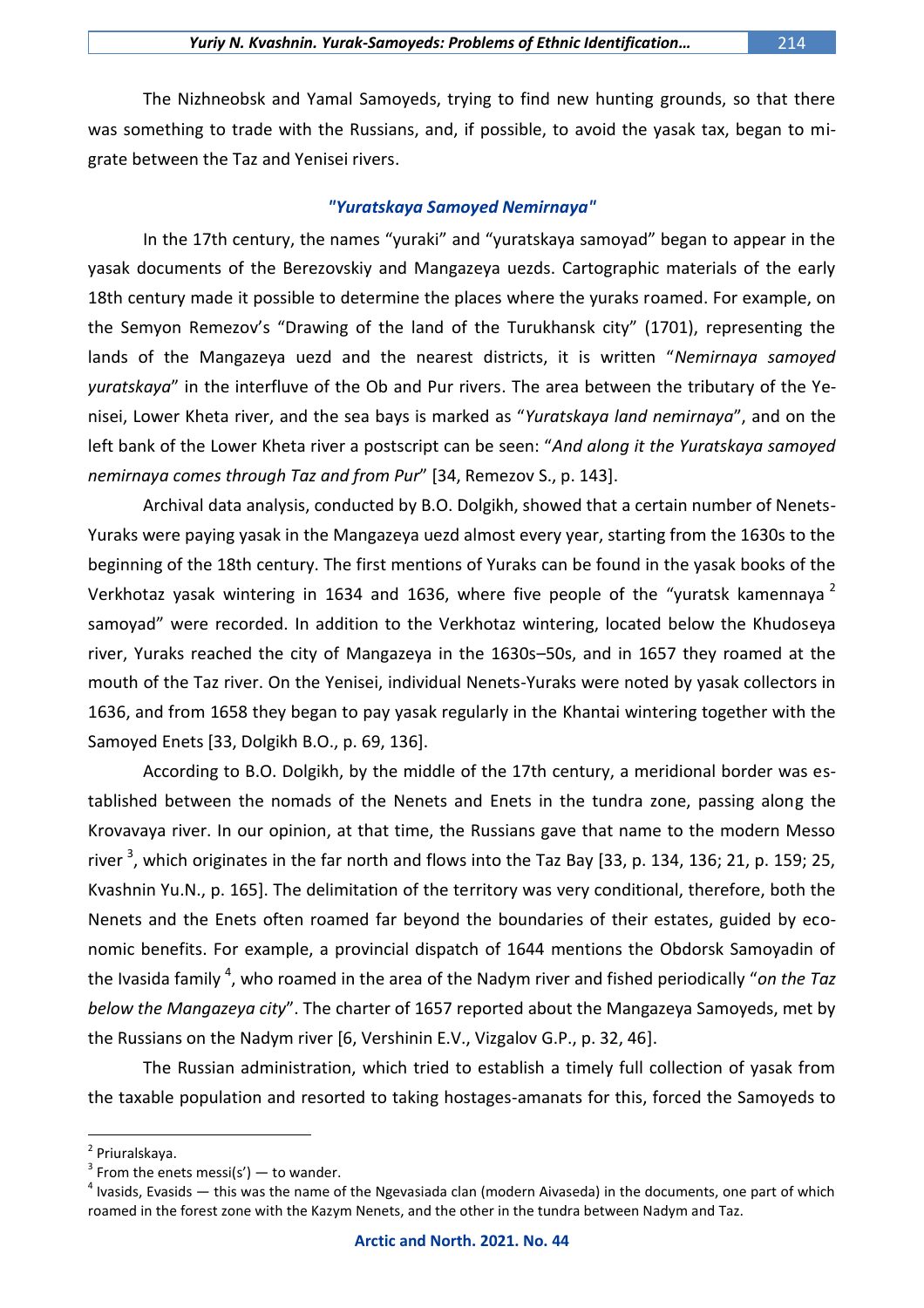The Nizhneobsk and Yamal Samoyeds, trying to find new hunting grounds, so that there was something to trade with the Russians, and, if possible, to avoid the yasak tax, began to migrate between the Taz and Yenisei rivers.

## *"Yuratskaya Samoyed Nemirnaya"*

In the 17th century, the names "yuraki" and "yuratskaya samoyad" began to appear in the yasak documents of the Berezovskiy and Mangazeya uezds. Cartographic materials of the early 18th century made it possible to determine the places where the yuraks roamed. For example, on the Semyon Remezov's "Drawing of the land of the Turukhansk city" (1701), representing the lands of the Mangazeya uezd and the nearest districts, it is written "*Nemirnaya samoyed yuratskaya*" in the interfluve of the Ob and Pur rivers. The area between the tributary of the Yenisei, Lower Kheta river, and the sea bays is marked as "*Yuratskaya land nemirnaya*", and on the left bank of the Lower Kheta river a postscript can be seen: "*And along it the Yuratskaya samoyed nemirnaya comes through Taz and from Pur*" [34, Remezov S., p. 143].

Archival data analysis, conducted by B.O. Dolgikh, showed that a certain number of Nenets-Yuraks were paying yasak in the Mangazeya uezd almost every year, starting from the 1630s to the beginning of the 18th century. The first mentions of Yuraks can be found in the yasak books of the Verkhotaz yasak wintering in 1634 and 1636, where five people of the "yuratsk kamennaya<sup>2</sup> samoyad" were recorded. In addition to the Verkhotaz wintering, located below the Khudoseya river, Yuraks reached the city of Mangazeya in the 1630s–50s, and in 1657 they roamed at the mouth of the Taz river. On the Yenisei, individual Nenets-Yuraks were noted by yasak collectors in 1636, and from 1658 they began to pay yasak regularly in the Khantai wintering together with the Samoyed Enets [33, Dolgikh B.O., p. 69, 136].

According to B.O. Dolgikh, by the middle of the 17th century, a meridional border was established between the nomads of the Nenets and Enets in the tundra zone, passing along the Krovavaya river. In our opinion, at that time, the Russians gave that name to the modern Messo river <sup>3</sup>, which originates in the far north and flows into the Taz Bay [33, p. 134, 136; 21, p. 159; 25, Kvashnin Yu.N., p. 165]. The delimitation of the territory was very conditional, therefore, both the Nenets and the Enets often roamed far beyond the boundaries of their estates, guided by economic benefits. For example, a provincial dispatch of 1644 mentions the Obdorsk Samoyadin of the Ivasida family <sup>4</sup>, who roamed in the area of the Nadym river and fished periodically "*on the Taz below the Mangazeya city*". The charter of 1657 reported about the Mangazeya Samoyeds, met by the Russians on the Nadym river [6, Vershinin E.V., Vizgalov G.P., p. 32, 46].

The Russian administration, which tried to establish a timely full collection of yasak from the taxable population and resorted to taking hostages-amanats for this, forced the Samoyeds to

<sup>&</sup>lt;sup>2</sup> Priuralskaya.

 $3$  From the enets messi(s') — to wander.

 $^4$  Ivasids, Evasids — this was the name of the Ngevasiada clan (modern Aivaseda) in the documents, one part of which roamed in the forest zone with the Kazym Nenets, and the other in the tundra between Nadym and Taz.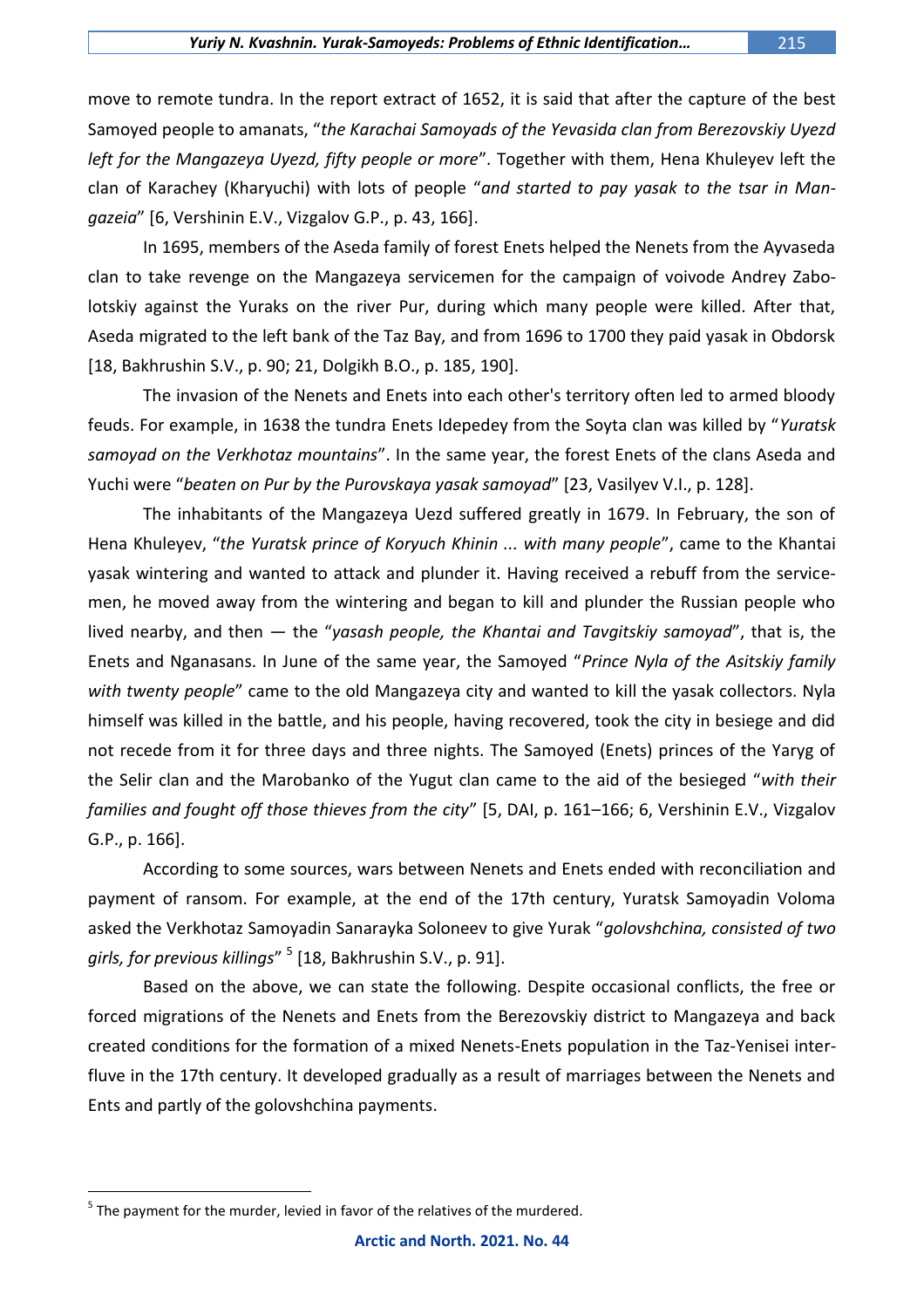move to remote tundra. In the report extract of 1652, it is said that after the capture of the best Samoyed people to amanats, "*the Karachai Samoyads of the Yevasida clan from Berezovskiy Uyezd left for the Mangazeya Uyezd, fifty people or more*". Together with them, Hena Khuleyev left the clan of Karachey (Kharyuchi) with lots of people "*and started to pay yasak to the tsar in Mangazeia*" [6, Vershinin E.V., Vizgalov G.P., p. 43, 166].

In 1695, members of the Aseda family of forest Enets helped the Nenets from the Ayvaseda clan to take revenge on the Mangazeya servicemen for the campaign of voivode Andrey Zabolotskiy against the Yuraks on the river Pur, during which many people were killed. After that, Aseda migrated to the left bank of the Taz Bay, and from 1696 to 1700 they paid yasak in Obdorsk [18, Bakhrushin S.V., p. 90; 21, Dolgikh B.O., p. 185, 190].

The invasion of the Nenets and Enets into each other's territory often led to armed bloody feuds. For example, in 1638 the tundra Enets Idepedey from the Soyta clan was killed by "*Yuratsk samoyad on the Verkhotaz mountains*". In the same year, the forest Enets of the clans Aseda and Yuchi were "*beaten on Pur by the Purovskaya yasak samoyad*" [23, Vasilyev V.I., p. 128].

The inhabitants of the Mangazeya Uezd suffered greatly in 1679. In February, the son of Hena Khuleyev, "*the Yuratsk prince of Koryuch Khinin ... with many people*", came to the Khantai yasak wintering and wanted to attack and plunder it. Having received a rebuff from the servicemen, he moved away from the wintering and began to kill and plunder the Russian people who lived nearby, and then — the "*yasash people, the Khantai and Tavgitskiy samoyad*", that is, the Enets and Nganasans. In June of the same year, the Samoyed "*Prince Nyla of the Asitskiy family with twenty people*" came to the old Mangazeya city and wanted to kill the yasak collectors. Nyla himself was killed in the battle, and his people, having recovered, took the city in besiege and did not recede from it for three days and three nights. The Samoyed (Enets) princes of the Yaryg of the Selir clan and the Marobanko of the Yugut clan came to the aid of the besieged "*with their families and fought off those thieves from the city*" [5, DAI, p. 161–166; 6, Vershinin E.V., Vizgalov G.P., p. 166].

According to some sources, wars between Nenets and Enets ended with reconciliation and payment of ransom. For example, at the end of the 17th century, Yuratsk Samoyadin Voloma asked the Verkhotaz Samoyadin Sanarayka Soloneev to give Yurak "*golovshchina, consisted of two girls, for previous killings*" <sup>5</sup> [18, Bakhrushin S.V., p. 91].

Based on the above, we can state the following. Despite occasional conflicts, the free or forced migrations of the Nenets and Enets from the Berezovskiy district to Mangazeya and back created conditions for the formation of a mixed Nenets-Enets population in the Taz-Yenisei interfluve in the 17th century. It developed gradually as a result of marriages between the Nenets and Ents and partly of the golovshchina payments.

 $<sup>5</sup>$  The payment for the murder, levied in favor of the relatives of the murdered.</sup>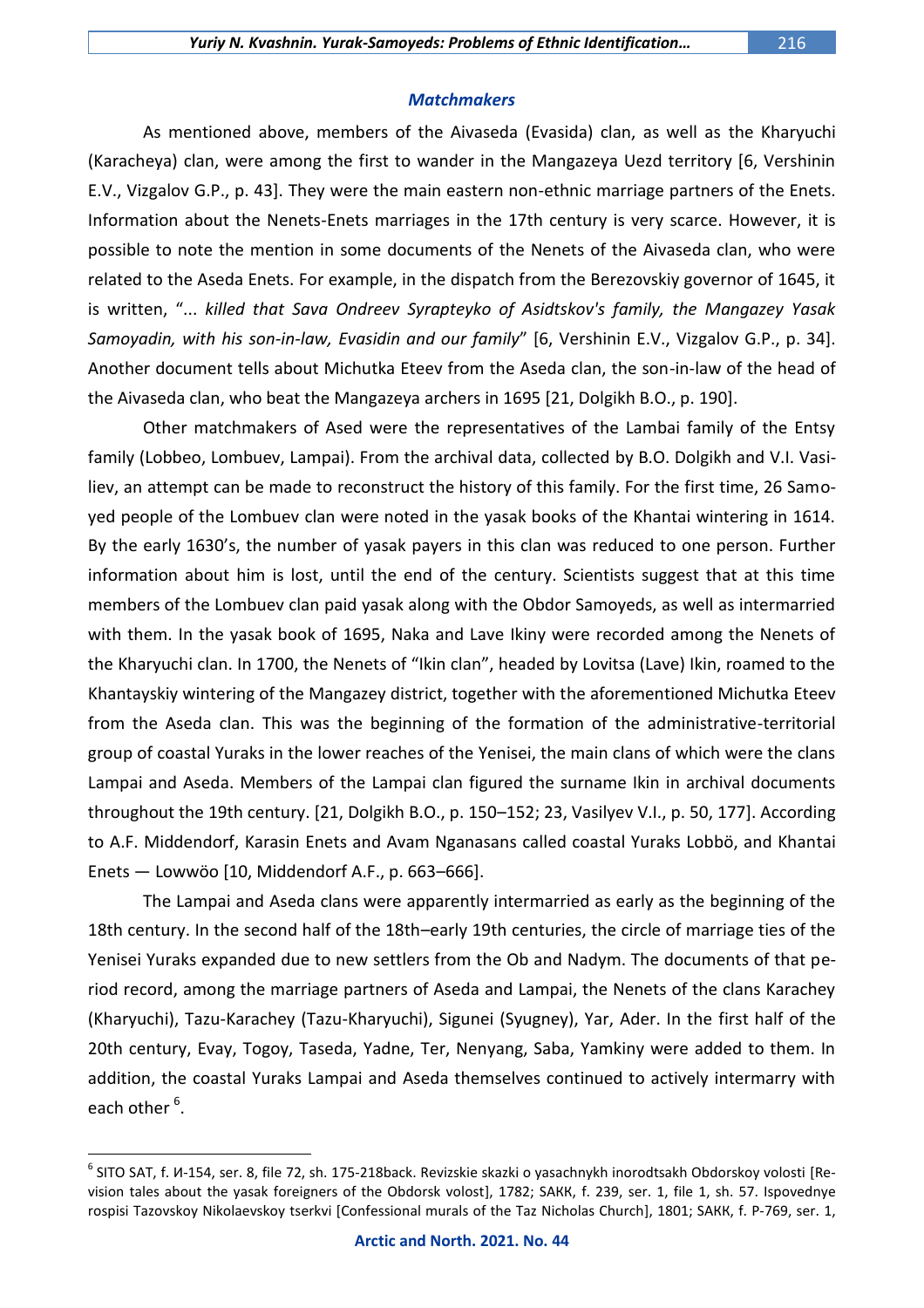As mentioned above, members of the Aivaseda (Evasida) clan, as well as the Kharyuchi (Karacheya) clan, were among the first to wander in the Mangazeya Uezd territory [6, Vershinin E.V., Vizgalov G.P., p. 43]. They were the main eastern non-ethnic marriage partners of the Enets. Information about the Nenets-Enets marriages in the 17th century is very scarce. However, it is possible to note the mention in some documents of the Nenets of the Aivaseda clan, who were related to the Aseda Enets. For example, in the dispatch from the Berezovskiy governor of 1645, it is written, "... *killed that Sava Ondreev Syrapteyko of Asidtskov's family, the Mangazey Yasak Samoyadin, with his son-in-law, Evasidin and our family*" [6, Vershinin E.V., Vizgalov G.P., p. 34]. Another document tells about Michutka Eteev from the Aseda clan, the son-in-law of the head of the Aivaseda clan, who beat the Mangazeya archers in 1695 [21, Dolgikh B.O., p. 190].

Other matchmakers of Ased were the representatives of the Lambai family of the Entsy family (Lobbeo, Lombuev, Lampai). From the archival data, collected by B.O. Dolgikh and V.I. Vasiliev, an attempt can be made to reconstruct the history of this family. For the first time, 26 Samoyed people of the Lombuev clan were noted in the yasak books of the Khantai wintering in 1614. By the early 1630's, the number of yasak payers in this clan was reduced to one person. Further information about him is lost, until the end of the century. Scientists suggest that at this time members of the Lombuev clan paid yasak along with the Obdor Samoyeds, as well as intermarried with them. In the yasak book of 1695, Naka and Lave Ikiny were recorded among the Nenets of the Kharyuchi clan. In 1700, the Nenets of "Ikin clan", headed by Lovitsa (Lave) Ikin, roamed to the Khantayskiy wintering of the Mangazey district, together with the aforementioned Michutka Eteev from the Aseda clan. This was the beginning of the formation of the administrative-territorial group of coastal Yuraks in the lower reaches of the Yenisei, the main clans of which were the clans Lampai and Aseda. Members of the Lampai clan figured the surname Ikin in archival documents throughout the 19th century. [21, Dolgikh B.O., p. 150–152; 23, Vasilyev V.I., p. 50, 177]. According to A.F. Middendorf, Karasin Enets and Avam Nganasans called coastal Yuraks Lobbö, and Khantai Enets — Lowwöo [10, Middendorf A.F., p. 663–666].

The Lampai and Aseda clans were apparently intermarried as early as the beginning of the 18th century. In the second half of the 18th–early 19th centuries, the circle of marriage ties of the Yenisei Yuraks expanded due to new settlers from the Ob and Nadym. The documents of that period record, among the marriage partners of Aseda and Lampai, the Nenets of the clans Karachey (Kharyuchi), Tazu-Karachey (Tazu-Kharyuchi), Sigunei (Syugney), Yar, Ader. In the first half of the 20th century, Evay, Togoy, Taseda, Yadne, Ter, Nenyang, Saba, Yamkiny were added to them. In addition, the coastal Yuraks Lampai and Aseda themselves continued to actively intermarry with each other <sup>6</sup>.

 $^6$  SITO SAT, f. И-154, ser. 8, file 72, sh. 175-218back. Revizskie skazki o yasachnykh inorodtsakh Obdorskoy volosti [Revision tales about the yasak foreigners of the Obdorsk volost], 1782; SАКК, f. 239, ser. 1, file 1, sh. 57. Ispovednye rospisi Tazovskoy Nikolaevskoy tserkvi [Confessional murals of the Taz Nicholas Church], 1801; SАКК, f. Р-769, ser. 1,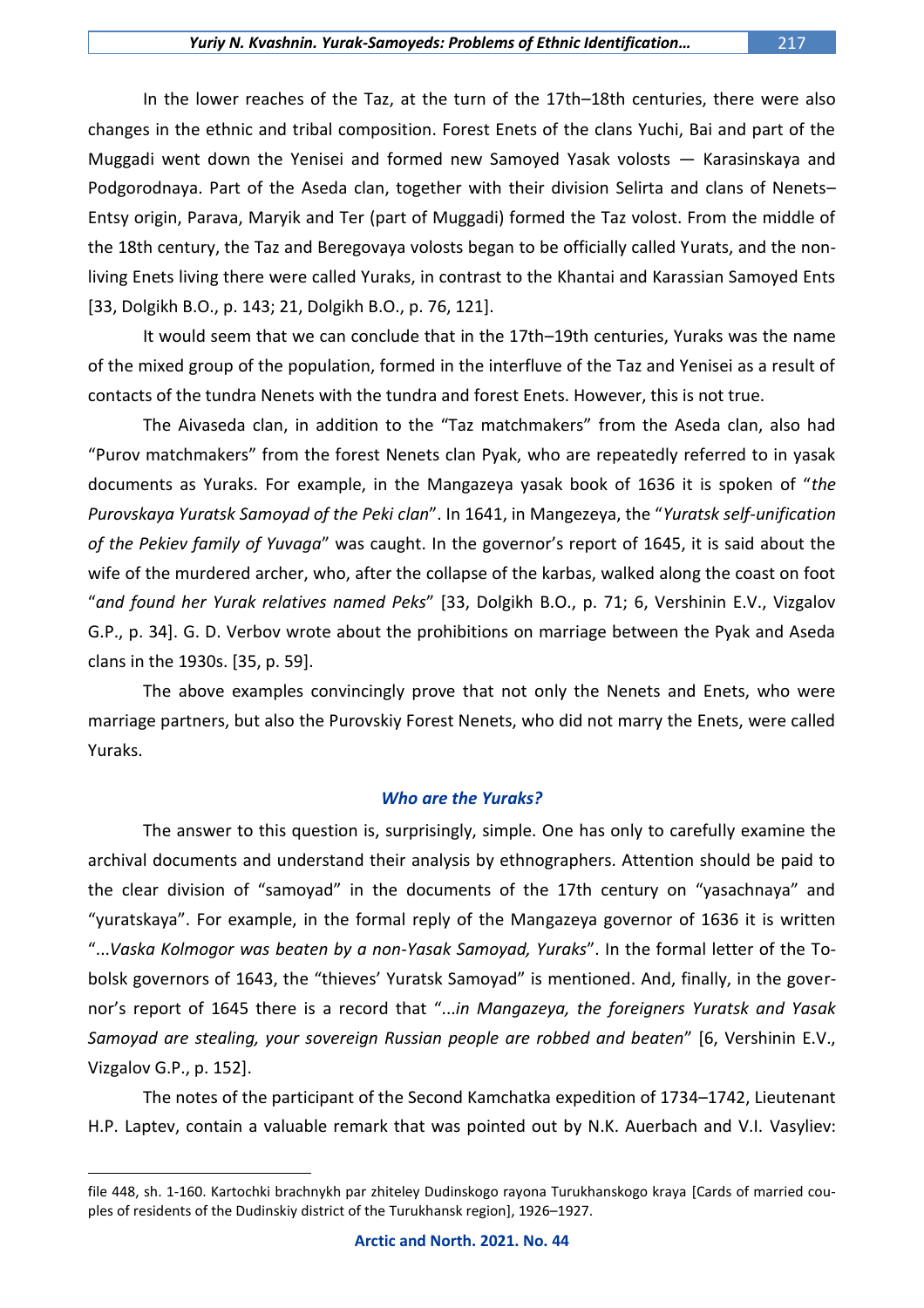In the lower reaches of the Taz, at the turn of the 17th–18th centuries, there were also changes in the ethnic and tribal composition. Forest Enets of the clans Yuchi, Bai and part of the Muggadi went down the Yenisei and formed new Samoyed Yasak volosts — Karasinskaya and Podgorodnaya. Part of the Aseda clan, together with their division Selirta and clans of Nenets– Entsy origin, Parava, Maryik and Ter (part of Muggadi) formed the Taz volost. From the middle of the 18th century, the Taz and Beregovaya volosts began to be officially called Yurats, and the nonliving Enets living there were called Yuraks, in contrast to the Khantai and Karassian Samoyed Ents [33, Dolgikh B.O., p. 143; 21, Dolgikh B.O., p. 76, 121].

It would seem that we can conclude that in the 17th–19th centuries, Yuraks was the name of the mixed group of the population, formed in the interfluve of the Taz and Yenisei as a result of contacts of the tundra Nenets with the tundra and forest Enets. However, this is not true.

The Aivaseda clan, in addition to the "Taz matchmakers" from the Aseda clan, also had "Purov matchmakers" from the forest Nenets clan Pyak, who are repeatedly referred to in yasak documents as Yuraks. For example, in the Mangazeya yasak book of 1636 it is spoken of "*the Purovskaya Yuratsk Samoyad of the Peki clan*". In 1641, in Mangezeya, the "*Yuratsk self-unification of the Pekiev family of Yuvaga*" was caught. In the governor's report of 1645, it is said about the wife of the murdered archer, who, after the collapse of the karbas, walked along the coast on foot "*and found her Yurak relatives named Peks*" [33, Dolgikh B.O., p. 71; 6, Vershinin E.V., Vizgalov G.P., p. 34]. G. D. Verbov wrote about the prohibitions on marriage between the Pyak and Aseda clans in the 1930s. [35, p. 59].

The above examples convincingly prove that not only the Nenets and Enets, who were marriage partners, but also the Purovskiy Forest Nenets, who did not marry the Enets, were called Yuraks.

## *Who are the Yuraks?*

The answer to this question is, surprisingly, simple. One has only to carefully examine the archival documents and understand their analysis by ethnographers. Attention should be paid to the clear division of "samoyad" in the documents of the 17th century on "yasachnaya" and "yuratskaya". For example, in the formal reply of the Mangazeya governor of 1636 it is written "...*Vaska Kolmogor was beaten by a non-Yasak Samoyad, Yuraks*". In the formal letter of the Tobolsk governors of 1643, the "thieves' Yuratsk Samoyad" is mentioned. And, finally, in the governor's report of 1645 there is a record that "...*in Mangazeya, the foreigners Yuratsk and Yasak Samoyad are stealing, your sovereign Russian people are robbed and beaten*" [6, Vershinin E.V., Vizgalov G.P., p. 152].

The notes of the participant of the Second Kamchatka expedition of 1734–1742, Lieutenant H.P. Laptev, contain a valuable remark that was pointed out by N.K. Auerbach and V.I. Vasyliev:

file 448, sh. 1-160. Kartochki brachnykh par zhiteley Dudinskogo rayona Turukhanskogo kraya [Cards of married couples of residents of the Dudinskiy district of the Turukhansk region], 1926–1927.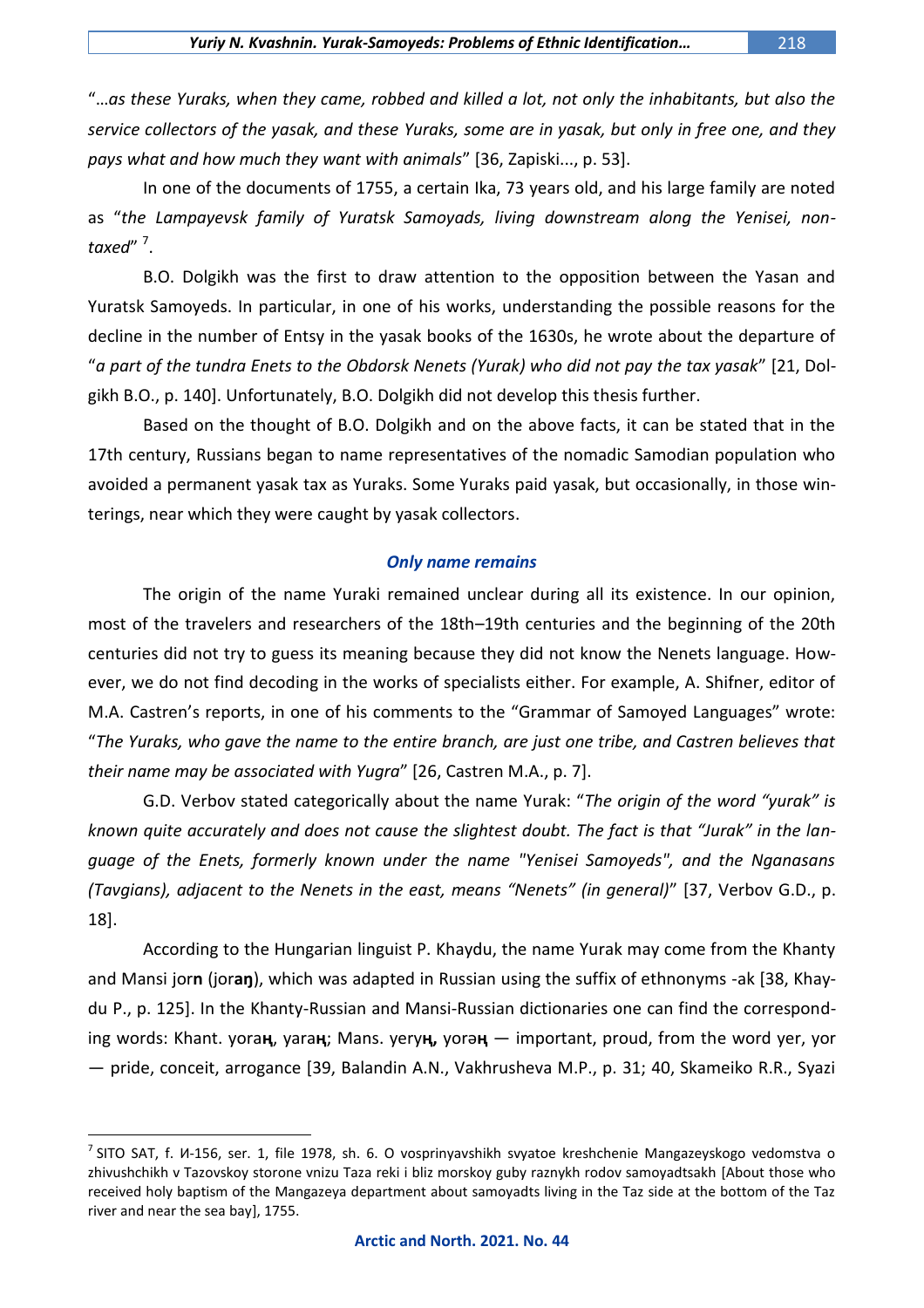"…*as these Yuraks, when they came, robbed and killed a lot, not only the inhabitants, but also the service collectors of the yasak, and these Yuraks, some are in yasak, but only in free one, and they pays what and how much they want with animals*" [36, Zapiski..., p. 53].

In one of the documents of 1755, a certain Ika, 73 years old, and his large family are noted as "*the Lampayevsk family of Yuratsk Samoyads, living downstream along the Yenisei, nontaxed*" 7 .

B.O. Dolgikh was the first to draw attention to the opposition between the Yasan and Yuratsk Samoyeds. In particular, in one of his works, understanding the possible reasons for the decline in the number of Entsy in the yasak books of the 1630s, he wrote about the departure of "*a part of the tundra Enets to the Obdorsk Nenets (Yurak) who did not pay the tax yasak*" [21, Dolgikh B.O., p. 140]. Unfortunately, B.O. Dolgikh did not develop this thesis further.

Based on the thought of B.O. Dolgikh and on the above facts, it can be stated that in the 17th century, Russians began to name representatives of the nomadic Samodian population who avoided a permanent yasak tax as Yuraks. Some Yuraks paid yasak, but occasionally, in those winterings, near which they were caught by yasak collectors.

## *Only name remains*

The origin of the name Yuraki remained unclear during all its existence. In our opinion, most of the travelers and researchers of the 18th–19th centuries and the beginning of the 20th centuries did not try to guess its meaning because they did not know the Nenets language. However, we do not find decoding in the works of specialists either. For example, A. Shifner, editor of M.A. Castren's reports, in one of his comments to the "Grammar of Samoyed Languages" wrote: "*The Yuraks, who gave the name to the entire branch, are just one tribe, and Castren believes that their name may be associated with Yugra*" [26, Castren M.A., p. 7].

G.D. Verbov stated categorically about the name Yurak: "*The origin of the word "yurak" is known quite accurately and does not cause the slightest doubt. The fact is that "Jurak" in the language of the Enets, formerly known under the name "Yenisei Samoyeds", and the Nganasans (Tavgians), adjacent to the Nenets in the east, means "Nenets" (in general)*" [37, Verbov G.D., p. 18].

According to the Hungarian linguist P. Khaydu, the name Yurak may come from the Khanty and Mansi jor**n** (jоr**aŋ**), which was adapted in Russian using the suffix of ethnonyms -ak [38, Khaydu P., p. 125]. In the Khanty-Russian and Mansi-Russian dictionaries one can find the corresponding words: Khant. yora**ң**, yara**ң**; Mans. yery**ң,** yorә**ң** — important, proud, from the word yer, yor — pride, conceit, arrogance [39, Balandin A.N., Vakhrusheva M.P., p. 31; 40, Skameiko R.R., Syazi

 $^7$  SITO SAT, f. И-156, ser. 1, file 1978, sh. 6. O vosprinyavshikh svyatoe kreshchenie Mangazeyskogo vedomstva o zhivushchikh v Tazovskoy storone vnizu Taza reki i bliz morskoy guby raznykh rodov samoyadtsakh [About those who received holy baptism of the Mangazeya department about samoyadts living in the Taz side at the bottom of the Taz river and near the sea bay], 1755.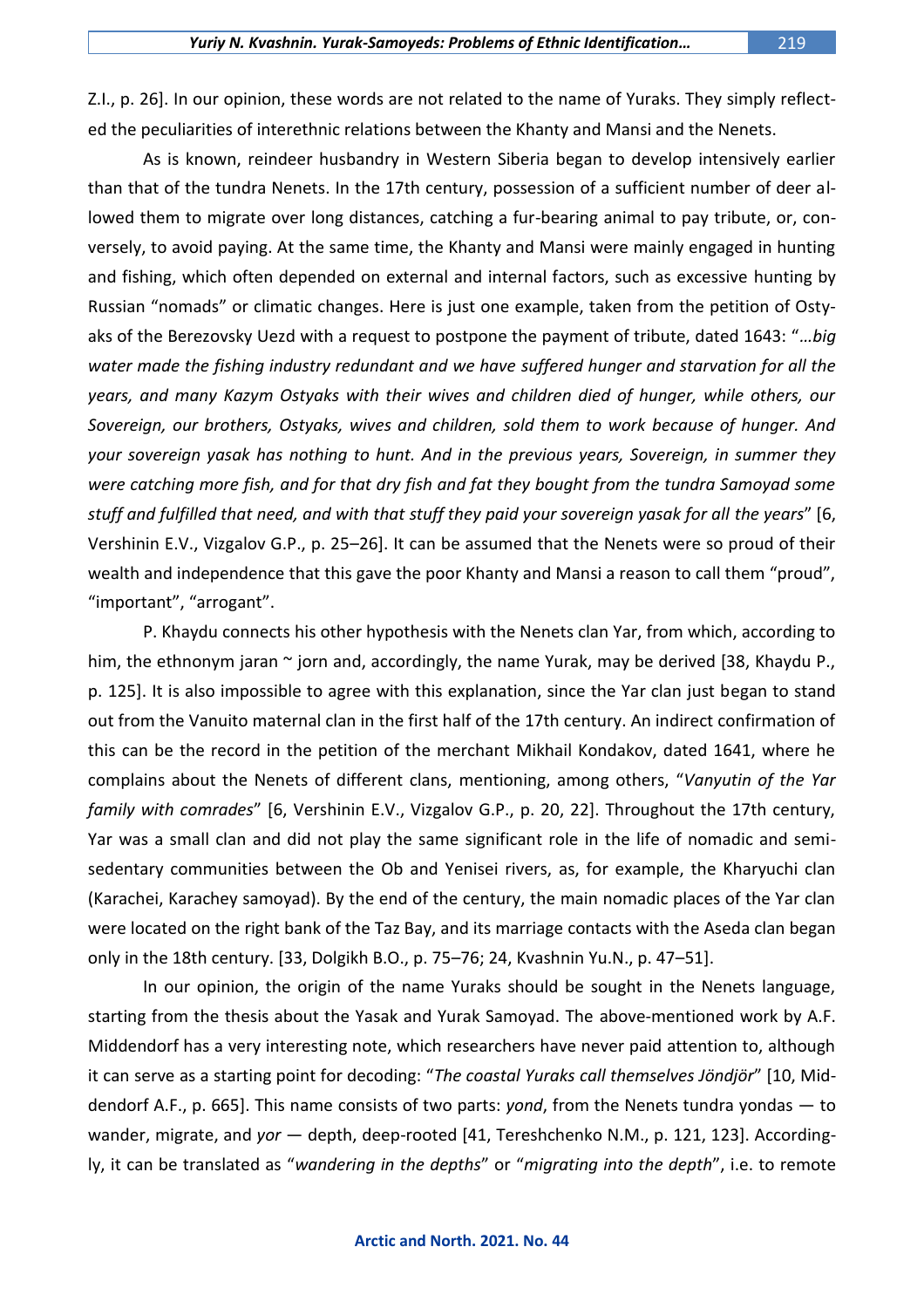Z.I., p. 26]. In our opinion, these words are not related to the name of Yuraks. They simply reflected the peculiarities of interethnic relations between the Khanty and Mansi and the Nenets.

As is known, reindeer husbandry in Western Siberia began to develop intensively earlier than that of the tundra Nenets. In the 17th century, possession of a sufficient number of deer allowed them to migrate over long distances, catching a fur-bearing animal to pay tribute, or, conversely, to avoid paying. At the same time, the Khanty and Mansi were mainly engaged in hunting and fishing, which often depended on external and internal factors, such as excessive hunting by Russian "nomads" or climatic changes. Here is just one example, taken from the petition of Ostyaks of the Berezovsky Uezd with a request to postpone the payment of tribute, dated 1643: "*…big water made the fishing industry redundant and we have suffered hunger and starvation for all the years, and many Kazym Ostyaks with their wives and children died of hunger, while others, our Sovereign, our brothers, Ostyaks, wives and children, sold them to work because of hunger. And your sovereign yasak has nothing to hunt. And in the previous years, Sovereign, in summer they were catching more fish, and for that dry fish and fat they bought from the tundra Samoyad some stuff and fulfilled that need, and with that stuff they paid your sovereign yasak for all the years*" [6, Vershinin E.V., Vizgalov G.P., p. 25–26]. It can be assumed that the Nenets were so proud of their wealth and independence that this gave the poor Khanty and Mansi a reason to call them "proud", "important", "arrogant".

P. Khaydu connects his other hypothesis with the Nenets clan Yar, from which, according to him, the ethnonym jaran  $\sim$  jorn and, accordingly, the name Yurak, may be derived [38, Khaydu P., p. 125]. It is also impossible to agree with this explanation, since the Yar clan just began to stand out from the Vanuito maternal clan in the first half of the 17th century. An indirect confirmation of this can be the record in the petition of the merchant Mikhail Kondakov, dated 1641, where he complains about the Nenets of different clans, mentioning, among others, "*Vanyutin of the Yar family with comrades*" [6, Vershinin E.V., Vizgalov G.P., p. 20, 22]. Throughout the 17th century, Yar was a small clan and did not play the same significant role in the life of nomadic and semisedentary communities between the Ob and Yenisei rivers, as, for example, the Kharyuchi clan (Karachei, Karachey samoyad). By the end of the century, the main nomadic places of the Yar clan were located on the right bank of the Taz Bay, and its marriage contacts with the Aseda clan began only in the 18th century. [33, Dolgikh B.O., p. 75–76; 24, Kvashnin Yu.N., p. 47–51].

In our opinion, the origin of the name Yuraks should be sought in the Nenets language, starting from the thesis about the Yasak and Yurak Samoyad. The above-mentioned work by A.F. Middendorf has a very interesting note, which researchers have never paid attention to, although it can serve as a starting point for decoding: "*The coastal Yuraks call themselves Jöndjör*" [10, Middendorf A.F., p. 665]. This name consists of two parts: *yond*, from the Nenets tundra yondas — to wander, migrate, and *yor* — depth, deep-rooted [41, Tereshchenko N.M., p. 121, 123]. Accordingly, it can be translated as "*wandering in the depths*" or "*migrating into the depth*", i.e. to remote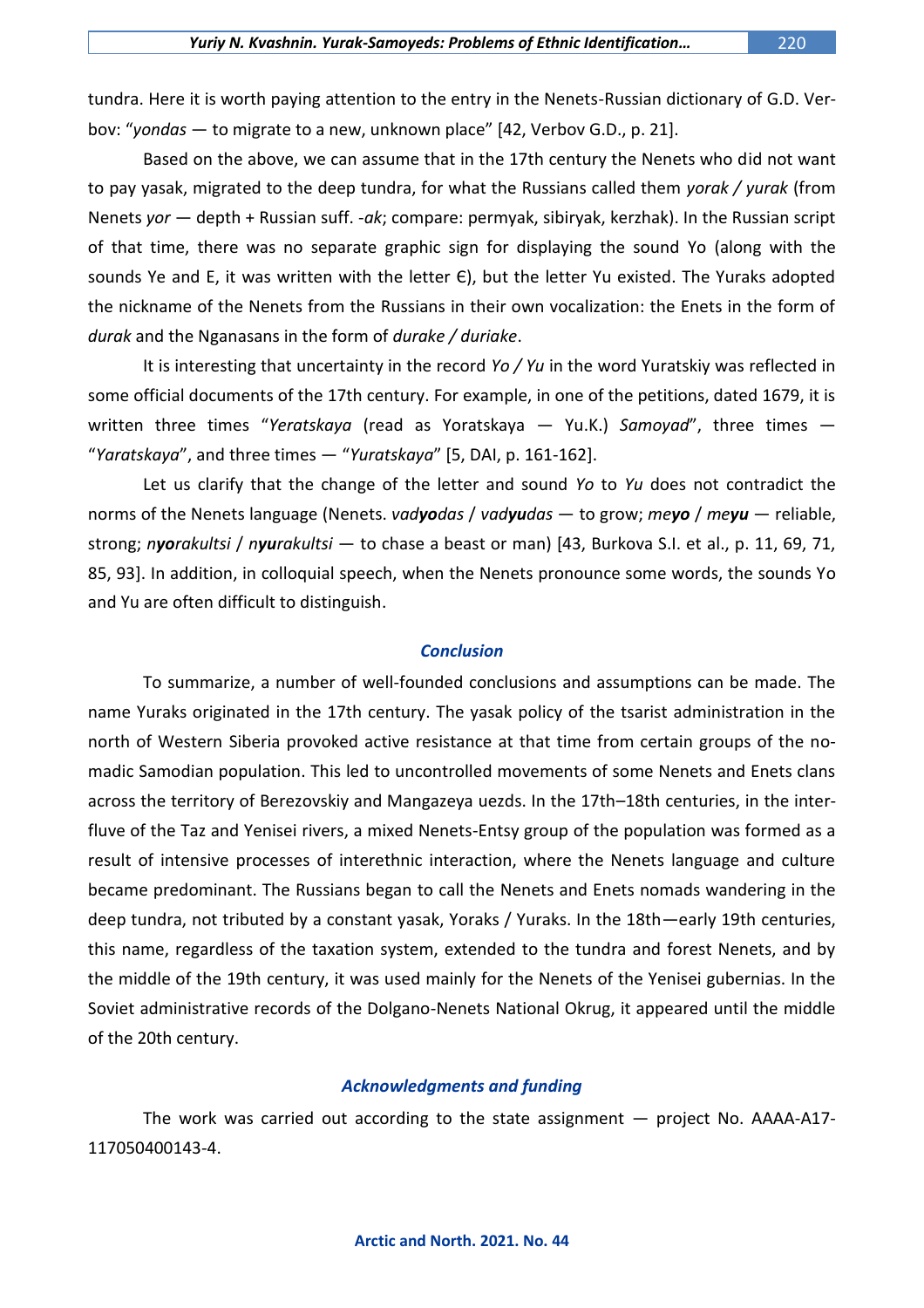tundra. Here it is worth paying attention to the entry in the Nenets-Russian dictionary of G.D. Verbov: "*yondas* — to migrate to a new, unknown place" [42, Verbov G.D., p. 21].

Based on the above, we can assume that in the 17th century the Nenets who did not want to pay yasak, migrated to the deep tundra, for what the Russians called them *yorak / yurak* (from Nenets *yor* — depth + Russian suff. -*ak*; compare: permyak, sibiryak, kerzhak). In the Russian script of that time, there was no separate graphic sign for displaying the sound Yo (along with the sounds Ye and E, it was written with the letter  $\epsilon$ ), but the letter Yu existed. The Yuraks adopted the nickname of the Nenets from the Russians in their own vocalization: the Enets in the form of *durak* and the Nganasans in the form of *durake / duriake*.

It is interesting that uncertainty in the record *Yo / Yu* in the word Yuratskiy was reflected in some official documents of the 17th century. For example, in one of the petitions, dated 1679, it is written three times "*Yeratskaya* (read as Yoratskaya — Yu.K.) *Samoyad*", three times — "*Yaratskaya*", and three times — "*Yuratskaya*" [5, DAI, p. 161-162].

Let us clarify that the change of the letter and sound *Yo* to *Yu* does not contradict the norms of the Nenets language (Nenets. *vadyodas* / *vadyudas* — to grow; *meyo* / *meyu* — reliable, strong; *nyorakultsi* / *nyurakultsi* — to chase a beast or man) [43, Burkova S.I. et al., p. 11, 69, 71, 85, 93]. In addition, in colloquial speech, when the Nenets pronounce some words, the sounds Yo and Yu are often difficult to distinguish.

### *Conclusion*

To summarize, a number of well-founded conclusions and assumptions can be made. The name Yuraks originated in the 17th century. The yasak policy of the tsarist administration in the north of Western Siberia provoked active resistance at that time from certain groups of the nomadic Samodian population. This led to uncontrolled movements of some Nenets and Enets clans across the territory of Berezovskiy and Mangazeya uezds. In the 17th–18th centuries, in the interfluve of the Taz and Yenisei rivers, a mixed Nenets-Entsy group of the population was formed as a result of intensive processes of interethnic interaction, where the Nenets language and culture became predominant. The Russians began to call the Nenets and Enets nomads wandering in the deep tundra, not tributed by a constant yasak, Yoraks / Yuraks. In the 18th—early 19th centuries, this name, regardless of the taxation system, extended to the tundra and forest Nenets, and by the middle of the 19th century, it was used mainly for the Nenets of the Yenisei gubernias. In the Soviet administrative records of the Dolgano-Nenets National Okrug, it appeared until the middle of the 20th century.

### *Acknowledgments and funding*

The work was carried out according to the state assignment — project No. АААА-А17- 117050400143-4.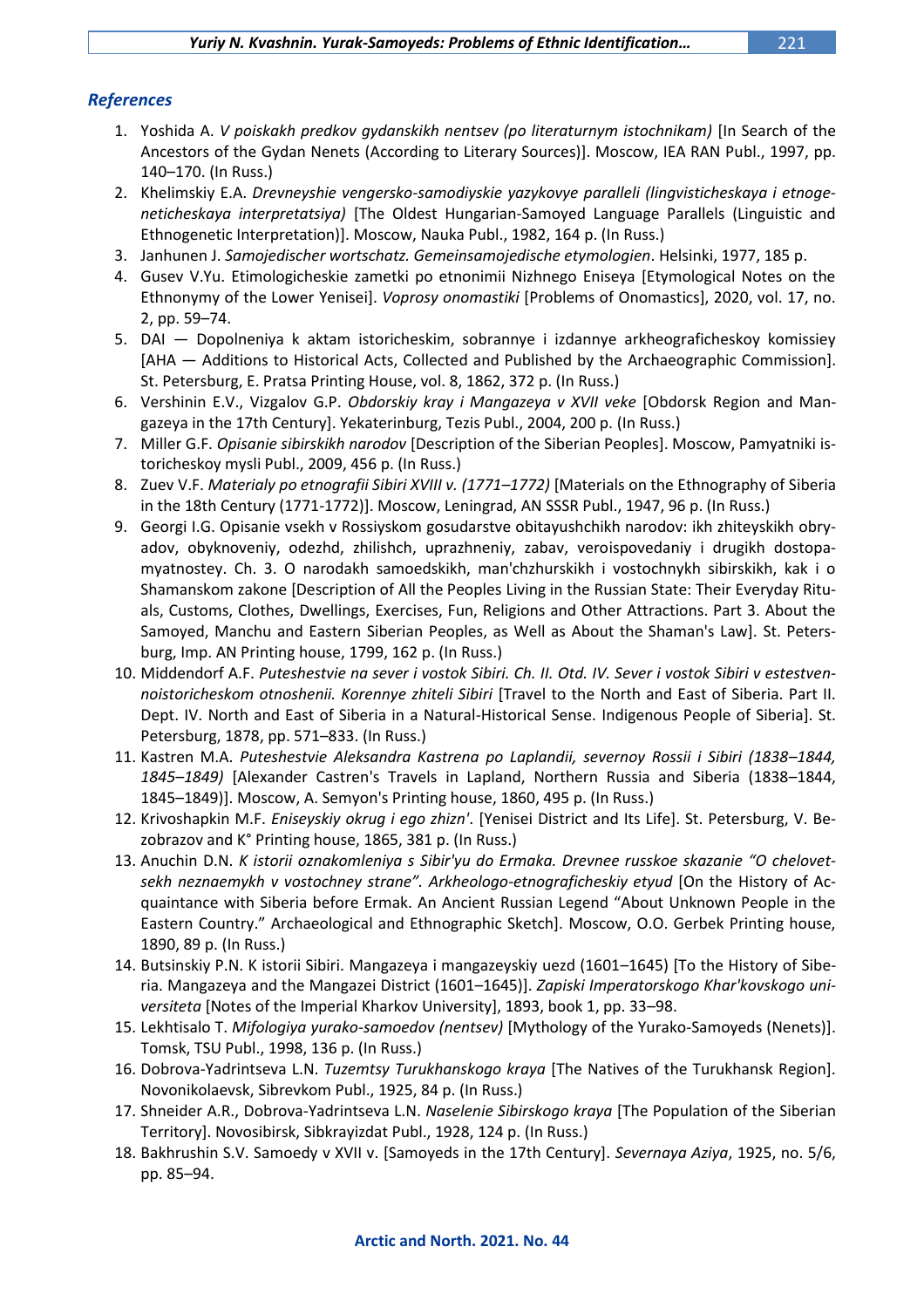## *References*

- 1. Yoshida A. *V poiskakh predkov gydanskikh nentsev (po literaturnym istochnikam)* [In Search of the Ancestors of the Gydan Nenets (According to Literary Sources)]. Moscow, IEA RAN Publ., 1997, pp. 140–170. (In Russ.)
- 2. Khelimskiy E.A. *Drevneyshie vengersko-samodiyskie yazykovye paralleli (lingvisticheskaya i etnogeneticheskaya interpretatsiya)* [The Oldest Hungarian-Samoyed Language Parallels (Linguistic and Ethnogenetic Interpretation)]. Moscow, Nauka Publ., 1982, 164 p. (In Russ.)
- 3. Janhunen J. *Samojedischer wortschatz. Gemeinsamojedische etymologien*. Helsinki, 1977, 185 p.
- 4. Gusev V.Yu. Etimologicheskie zametki po etnonimii Nizhnego Eniseya [Etymological Notes on the Ethnonymy of the Lower Yenisei]. *Voprosy onomastiki* [Problems of Onomastics], 2020, vol. 17, no. 2, pp. 59–74.
- 5. DAI Dopolneniya k aktam istoricheskim, sobrannye i izdannye arkheograficheskoy komissiey [AHA — Additions to Historical Acts, Collected and Published by the Archaeographic Commission]. St. Petersburg, E. Pratsa Printing House, vol. 8, 1862, 372 p. (In Russ.)
- 6. Vershinin E.V., Vizgalov G.P. *Obdorskiy kray i Mangazeya v XVII veke* [Obdorsk Region and Mangazeya in the 17th Century]. Yekaterinburg, Tezis Publ., 2004, 200 p. (In Russ.)
- 7. Miller G.F. *Opisanie sibirskikh narodov* [Description of the Siberian Peoples]. Moscow, Pamyatniki istoricheskoy mysli Publ., 2009, 456 p. (In Russ.)
- 8. Zuev V.F. *Materialy po etnografii Sibiri XVIII v. (1771–1772)* [Materials on the Ethnography of Siberia in the 18th Century (1771-1772)]. Moscow, Leningrad, AN SSSR Publ., 1947, 96 p. (In Russ.)
- 9. Georgi I.G. Opisanie vsekh v Rossiyskom gosudarstve obitayushchikh narodov: ikh zhiteyskikh obryadov, obyknoveniy, odezhd, zhilishch, uprazhneniy, zabav, veroispovedaniy i drugikh dostopamyatnostey. Ch. 3. O narodakh samoedskikh, man'chzhurskikh i vostochnykh sibirskikh, kak i o Shamanskom zakone [Description of All the Peoples Living in the Russian State: Their Everyday Rituals, Customs, Clothes, Dwellings, Exercises, Fun, Religions and Other Attractions. Part 3. About the Samoyed, Manchu and Eastern Siberian Peoples, as Well as About the Shaman's Law]. St. Petersburg, Imp. AN Printing house, 1799, 162 p. (In Russ.)
- 10. Middendorf A.F. *Puteshestvie na sever i vostok Sibiri. Ch. II. Otd. IV. Sever i vostok Sibiri v estestvennoistoricheskom otnoshenii. Korennye zhiteli Sibiri* [Travel to the North and East of Siberia. Part II. Dept. IV. North and East of Siberia in a Natural-Historical Sense. Indigenous People of Siberia]. St. Petersburg, 1878, pp. 571–833. (In Russ.)
- 11. Kastren M.A. *Puteshestvie Aleksandra Kastrena po Laplandii, severnoy Rossii i Sibiri (1838–1844, 1845–1849)* [Alexander Castren's Travels in Lapland, Northern Russia and Siberia (1838–1844, 1845–1849)]. Moscow, A. Semyon's Printing house, 1860, 495 p. (In Russ.)
- 12. Krivoshapkin M.F. *Eniseyskiy okrug i ego zhizn'*. [Yenisei District and Its Life]. St. Petersburg, V. Bezobrazov and K° Printing house, 1865, 381 p. (In Russ.)
- 13. Anuchin D.N. *K istorii oznakomleniya s Sibir'yu do Ermaka. Drevnee russkoe skazanie "O chelovetsekh neznaemykh v vostochney strane". Arkheologo-etnograficheskiy etyud* [On the History of Acquaintance with Siberia before Ermak. An Ancient Russian Legend "About Unknown People in the Eastern Country." Archaeological and Ethnographic Sketch]. Moscow, O.O. Gerbek Printing house, 1890, 89 p. (In Russ.)
- 14. Butsinskiy P.N. K istorii Sibiri. Mangazeya i mangazeyskiy uezd (1601–1645) [To the History of Siberia. Mangazeya and the Mangazei District (1601–1645)]. *Zapiski Imperatorskogo Khar'kovskogo universiteta* [Notes of the Imperial Kharkov University], 1893, book 1, pp. 33–98.
- 15. Lekhtisalo T. *Mifologiya yurako-samoedov (nentsev)* [Mythology of the Yurako-Samoyeds (Nenets)]. Tomsk, TSU Publ., 1998, 136 p. (In Russ.)
- 16. Dobrova-Yadrintseva L.N. *Tuzemtsy Turukhanskogo kraya* [The Natives of the Turukhansk Region]. Novonikolaevsk, Sibrevkom Publ., 1925, 84 p. (In Russ.)
- 17. Shneider A.R., Dobrova-Yadrintseva L.N. *Naselenie Sibirskogo kraya* [The Population of the Siberian Territory]. Novosibirsk, Sibkrayizdat Publ., 1928, 124 p. (In Russ.)
- 18. Bakhrushin S.V. Samoedy v XVII v. [Samoyeds in the 17th Century]. *Severnaya Aziya*, 1925, no. 5/6, pp. 85–94.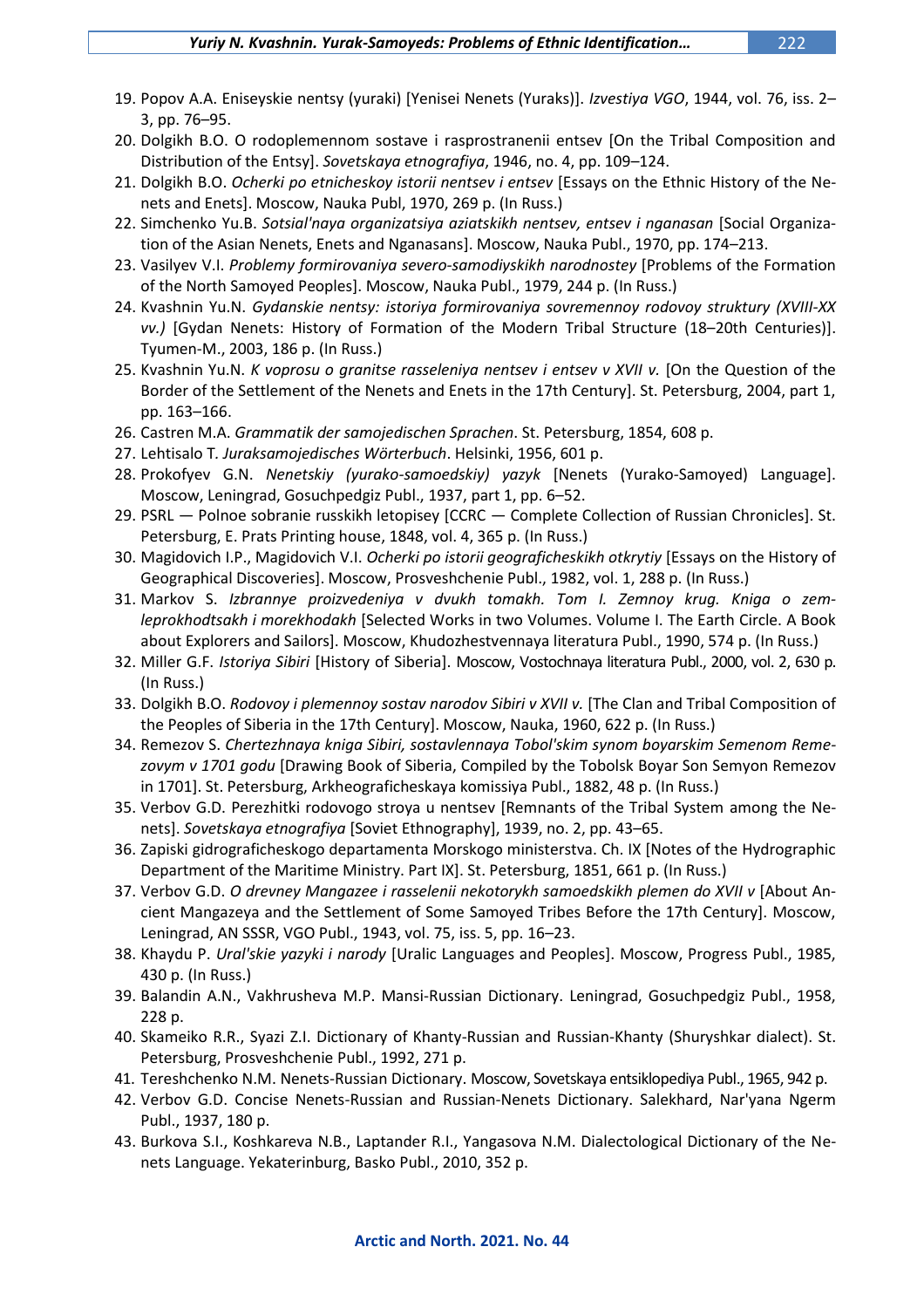- 19. Popov A.A. Eniseyskie nentsy (yuraki) [Yenisei Nenets (Yuraks)]. *Izvestiya VGO*, 1944, vol. 76, iss. 2– 3, pp. 76–95.
- 20. Dolgikh B.O. O rodoplemennom sostave i rasprostranenii entsev [On the Tribal Composition and Distribution of the Entsy]. *Sovetskaya etnografiya*, 1946, no. 4, pp. 109–124.
- 21. Dolgikh B.O. *Ocherki po etnicheskoy istorii nentsev i entsev* [Essays on the Ethnic History of the Nenets and Enets]. Moscow, Nauka Publ, 1970, 269 p. (In Russ.)
- 22. Simchenko Yu.B. *Sotsial'naya organizatsiya aziatskikh nentsev, entsev i nganasan* [Social Organization of the Asian Nenets, Enets and Nganasans]. Moscow, Nauka Publ., 1970, pp. 174–213.
- 23. Vasilyev V.I. *Problemy formirovaniya severo-samodiyskikh narodnostey* [Problems of the Formation of the North Samoyed Peoples]. Moscow, Nauka Publ., 1979, 244 p. (In Russ.)
- 24. Kvashnin Yu.N. *Gydanskie nentsy: istoriya formirovaniya sovremennoy rodovoy struktury (XVIII-XX vv.)* [Gydan Nenets: History of Formation of the Modern Tribal Structure (18–20th Centuries)]. Tyumen-M., 2003, 186 p. (In Russ.)
- 25. Kvashnin Yu.N. *K voprosu o granitse rasseleniya nentsev i entsev v XVII v.* [On the Question of the Border of the Settlement of the Nenets and Enets in the 17th Century]. St. Petersburg, 2004, part 1, pp. 163–166.
- 26. Castren M.A. *Grammatik der samojedischen Sprachen*. St. Petersburg, 1854, 608 p.
- 27. Lehtisalo T*. Juraksamojedisches Wörterbuch*. Helsinki, 1956, 601 p.
- 28. Prokofyev G.N. *Nenetskiy (yurako-samoedskiy) yazyk* [Nenets (Yurako-Samoyed) Language]. Moscow, Leningrad, Gosuchpedgiz Publ., 1937, part 1, pp. 6–52.
- 29. PSRL Polnoe sobranie russkikh letopisey [CCRC Complete Collection of Russian Chronicles]. St. Petersburg, E. Prats Printing house, 1848, vol. 4, 365 p. (In Russ.)
- 30. Magidovich I.P., Magidovich V.I. *Ocherki po istorii geograficheskikh otkrytiy* [Essays on the History of Geographical Discoveries]. Moscow, Prosveshchenie Publ., 1982, vol. 1, 288 p. (In Russ.)
- 31. Markov S. *Izbrannye proizvedeniya v dvukh tomakh. Tom I. Zemnoy krug. Kniga o zemleprokhodtsakh i morekhodakh* [Selected Works in two Volumes. Volume I. The Earth Circle. A Book about Explorers and Sailors]. Moscow, Khudozhestvennaya literatura Publ., 1990, 574 p. (In Russ.)
- 32. Miller G.F. *Istoriya Sibiri* [History of Siberia]. Moscow, Vostochnaya literatura Publ., 2000, vol. 2, 630 p. (In Russ.)
- 33. Dolgikh B.O. *Rodovoy i plemennoy sostav narodov Sibiri v XVII v.* [The Clan and Tribal Composition of the Peoples of Siberia in the 17th Century]. Moscow, Nauka, 1960, 622 p. (In Russ.)
- 34. Remezov S. *Chertezhnaya kniga Sibiri, sostavlennaya Tobol'skim synom boyarskim Semenom Remezovym v 1701 godu* [Drawing Book of Siberia, Compiled by the Tobolsk Boyar Son Semyon Remezov in 1701]. St. Petersburg, Arkheograficheskaya komissiya Publ., 1882, 48 p. (In Russ.)
- 35. Verbov G.D. Perezhitki rodovogo stroya u nentsev [Remnants of the Tribal System among the Nenets]. *Sovetskaya etnografiya* [Soviet Ethnography], 1939, no. 2, pp. 43–65.
- 36. Zapiski gidrograficheskogo departamenta Morskogo ministerstva. Ch. IX [Notes of the Hydrographic Department of the Maritime Ministry. Part IX]. St. Petersburg, 1851, 661 p. (In Russ.)
- 37. Verbov G.D. *O drevney Mangazee i rasselenii nekotorykh samoedskikh plemen do XVII v* [About Ancient Mangazeya and the Settlement of Some Samoyed Tribes Before the 17th Century]. Moscow, Leningrad, AN SSSR, VGO Publ., 1943, vol. 75, iss. 5, pp. 16–23.
- 38. Khaydu P. *Ural'skie yazyki i narody* [Uralic Languages and Peoples]. Moscow, Progress Publ., 1985, 430 p. (In Russ.)
- 39. Balandin A.N., Vakhrusheva M.P. Mansi-Russian Dictionary. Leningrad, Gosuchpedgiz Publ., 1958, 228 p.
- 40. Skameiko R.R., Syazi Z.I. Dictionary of Khanty-Russian and Russian-Khanty (Shuryshkar dialect). St. Petersburg, Prosveshchenie Publ., 1992, 271 p.
- 41. Tereshchenko N.M. Nenets-Russian Dictionary. Moscow, Sovetskaya entsiklopediya Publ., 1965, 942 p.
- 42. Verbov G.D. Concise Nenets-Russian and Russian-Nenets Dictionary. Salekhard, Nar'yana Ngerm Publ., 1937, 180 p.
- 43. Burkova S.I., Koshkareva N.B., Laptander R.I., Yangasova N.M. Dialectological Dictionary of the Nenets Language. Yekaterinburg, Basko Publ., 2010, 352 p.